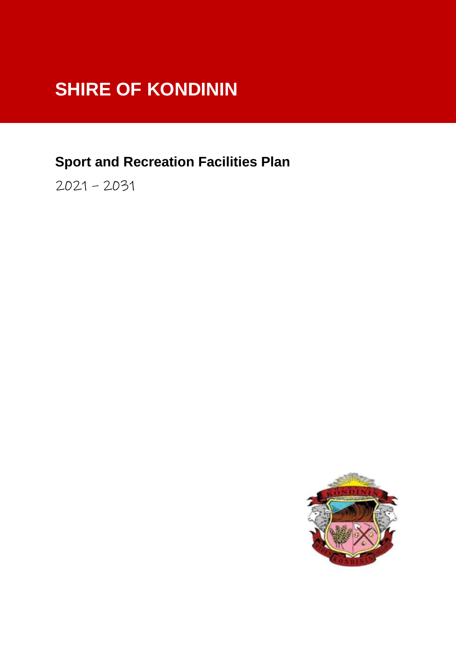# **SHIRE OF KONDININ**

# **Sport and Recreation Facilities Plan**

2021 – 2031

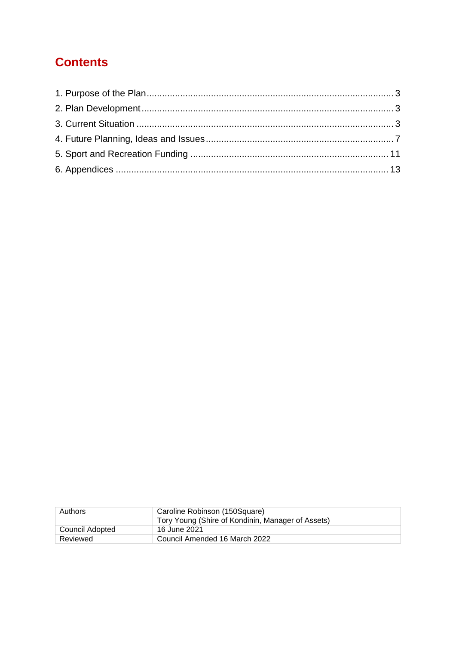# **Contents**

| Authors         | Caroline Robinson (150Square)<br>Tory Young (Shire of Kondinin, Manager of Assets) |
|-----------------|------------------------------------------------------------------------------------|
| Council Adopted | 16 June 2021                                                                       |
| Reviewed        | Council Amended 16 March 2022                                                      |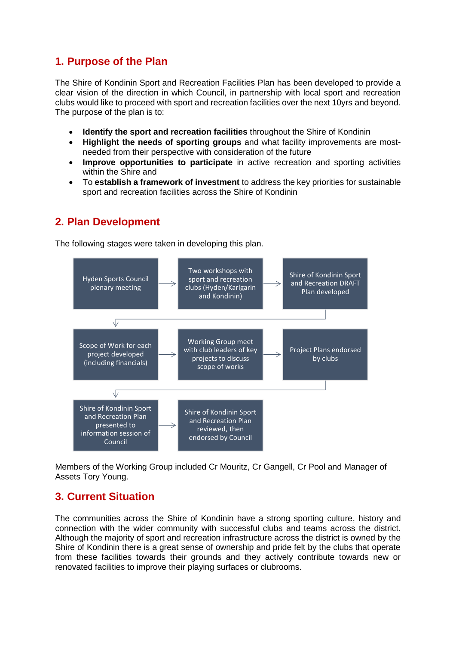# <span id="page-2-0"></span>**1. Purpose of the Plan**

The Shire of Kondinin Sport and Recreation Facilities Plan has been developed to provide a clear vision of the direction in which Council, in partnership with local sport and recreation clubs would like to proceed with sport and recreation facilities over the next 10yrs and beyond. The purpose of the plan is to:

- **Identify the sport and recreation facilities** throughout the Shire of Kondinin
- **Highlight the needs of sporting groups** and what facility improvements are mostneeded from their perspective with consideration of the future
- **Improve opportunities to participate** in active recreation and sporting activities within the Shire and
- To **establish a framework of investment** to address the key priorities for sustainable sport and recreation facilities across the Shire of Kondinin

# <span id="page-2-1"></span>**2. Plan Development**

The following stages were taken in developing this plan.



Members of the Working Group included Cr Mouritz, Cr Gangell, Cr Pool and Manager of Assets Tory Young.

# <span id="page-2-2"></span>**3. Current Situation**

The communities across the Shire of Kondinin have a strong sporting culture, history and connection with the wider community with successful clubs and teams across the district. Although the majority of sport and recreation infrastructure across the district is owned by the Shire of Kondinin there is a great sense of ownership and pride felt by the clubs that operate from these facilities towards their grounds and they actively contribute towards new or renovated facilities to improve their playing surfaces or clubrooms.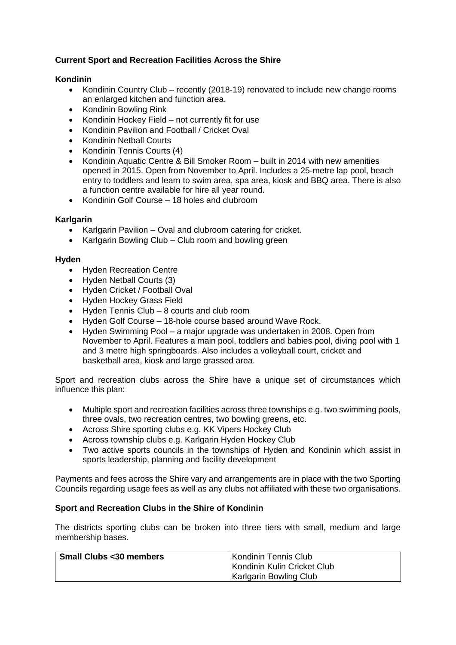#### **Current Sport and Recreation Facilities Across the Shire**

#### **Kondinin**

- Kondinin Country Club recently (2018-19) renovated to include new change rooms an enlarged kitchen and function area.
- Kondinin Bowling Rink
- Kondinin Hockey Field not currently fit for use
- Kondinin Pavilion and Football / Cricket Oval
- Kondinin Netball Courts
- Kondinin Tennis Courts (4)
- Kondinin Aquatic Centre & Bill Smoker Room built in 2014 with new amenities opened in 2015. Open from November to April. Includes a 25-metre lap pool, beach entry to toddlers and learn to swim area, spa area, kiosk and BBQ area. There is also a function centre available for hire all year round.
- Kondinin Golf Course 18 holes and clubroom

#### **Karlgarin**

- Karlgarin Pavilion Oval and clubroom catering for cricket.
- Karlgarin Bowling Club Club room and bowling green

#### **Hyden**

- Hyden Recreation Centre
- Hyden Netball Courts (3)
- Hyden Cricket / Football Oval
- Hyden Hockey Grass Field
- Hyden Tennis Club 8 courts and club room
- Hyden Golf Course 18-hole course based around Wave Rock.
- Hyden Swimming Pool a major upgrade was undertaken in 2008. Open from November to April. Features a main pool, toddlers and babies pool, diving pool with 1 and 3 metre high springboards. Also includes a volleyball court, cricket and basketball area, kiosk and large grassed area.

Sport and recreation clubs across the Shire have a unique set of circumstances which influence this plan:

- Multiple sport and recreation facilities across three townships e.g. two swimming pools, three ovals, two recreation centres, two bowling greens, etc.
- Across Shire sporting clubs e.g. KK Vipers Hockey Club
- Across township clubs e.g. Karlgarin Hyden Hockey Club
- Two active sports councils in the townships of Hyden and Kondinin which assist in sports leadership, planning and facility development

Payments and fees across the Shire vary and arrangements are in place with the two Sporting Councils regarding usage fees as well as any clubs not affiliated with these two organisations.

#### **Sport and Recreation Clubs in the Shire of Kondinin**

The districts sporting clubs can be broken into three tiers with small, medium and large membership bases.

| <b>Small Clubs &lt;30 members</b> | <b>Kondinin Tennis Club</b><br>Kondinin Kulin Cricket Club |
|-----------------------------------|------------------------------------------------------------|
|                                   | Karlgarin Bowling Club                                     |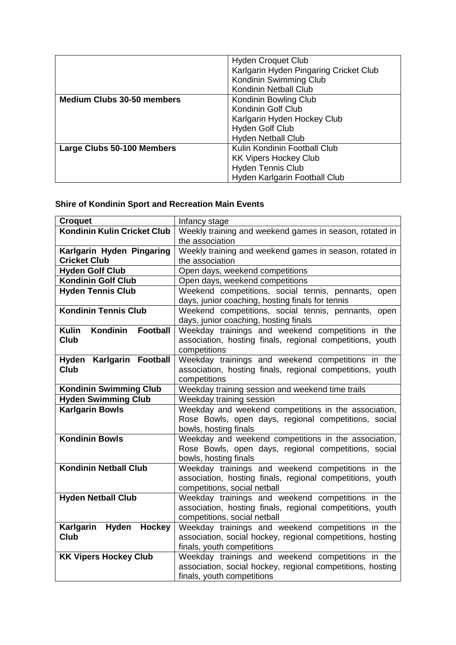|                                   | <b>Hyden Croquet Club</b>              |
|-----------------------------------|----------------------------------------|
|                                   | Karlgarin Hyden Pingaring Cricket Club |
|                                   | Kondinin Swimming Club                 |
|                                   | Kondinin Netball Club                  |
| <b>Medium Clubs 30-50 members</b> | Kondinin Bowling Club                  |
|                                   | Kondinin Golf Club                     |
|                                   | Karlgarin Hyden Hockey Club            |
|                                   | Hyden Golf Club                        |
|                                   | <b>Hyden Netball Club</b>              |
| Large Clubs 50-100 Members        | Kulin Kondinin Football Club           |
|                                   | <b>KK Vipers Hockey Club</b>           |
|                                   | <b>Hyden Tennis Club</b>               |
|                                   | Hyden Karlgarin Football Club          |

# **Shire of Kondinin Sport and Recreation Main Events**

| <b>Croquet</b>                              | Infancy stage                                                                 |  |  |  |  |
|---------------------------------------------|-------------------------------------------------------------------------------|--|--|--|--|
| Kondinin Kulin Cricket Club                 | Weekly training and weekend games in season, rotated in                       |  |  |  |  |
|                                             | the association                                                               |  |  |  |  |
| Karlgarin Hyden Pingaring                   | Weekly training and weekend games in season, rotated in                       |  |  |  |  |
| <b>Cricket Club</b>                         | the association                                                               |  |  |  |  |
| <b>Hyden Golf Club</b>                      | Open days, weekend competitions                                               |  |  |  |  |
| <b>Kondinin Golf Club</b>                   | Open days, weekend competitions                                               |  |  |  |  |
| <b>Hyden Tennis Club</b>                    | Weekend competitions, social tennis, pennants, open                           |  |  |  |  |
|                                             | days, junior coaching, hosting finals for tennis                              |  |  |  |  |
| <b>Kondinin Tennis Club</b>                 | Weekend competitions, social tennis, pennants, open                           |  |  |  |  |
|                                             | days, junior coaching, hosting finals                                         |  |  |  |  |
| Kondinin<br><b>Football</b><br><b>Kulin</b> | Weekday trainings and weekend competitions in the                             |  |  |  |  |
| Club                                        | association, hosting finals, regional competitions, youth                     |  |  |  |  |
|                                             | competitions                                                                  |  |  |  |  |
| Hyden Karlgarin Football                    | Weekday trainings and weekend competitions in the                             |  |  |  |  |
| <b>Club</b>                                 | association, hosting finals, regional competitions, youth                     |  |  |  |  |
|                                             | competitions                                                                  |  |  |  |  |
| <b>Kondinin Swimming Club</b>               | Weekday training session and weekend time trails                              |  |  |  |  |
| <b>Hyden Swimming Club</b>                  | Weekday training session                                                      |  |  |  |  |
| <b>Karlgarin Bowls</b>                      | Weekday and weekend competitions in the association,                          |  |  |  |  |
|                                             | Rose Bowls, open days, regional competitions, social                          |  |  |  |  |
| <b>Kondinin Bowls</b>                       | bowls, hosting finals                                                         |  |  |  |  |
|                                             | Weekday and weekend competitions in the association,                          |  |  |  |  |
|                                             | Rose Bowls, open days, regional competitions, social<br>bowls, hosting finals |  |  |  |  |
| <b>Kondinin Netball Club</b>                | Weekday trainings and weekend competitions in the                             |  |  |  |  |
|                                             | association, hosting finals, regional competitions, youth                     |  |  |  |  |
|                                             | competitions, social netball                                                  |  |  |  |  |
| <b>Hyden Netball Club</b>                   | Weekday trainings and weekend competitions in the                             |  |  |  |  |
|                                             | association, hosting finals, regional competitions, youth                     |  |  |  |  |
|                                             | competitions, social netball                                                  |  |  |  |  |
| Karlgarin<br>Hyden<br>Hockey                | Weekday trainings and weekend competitions in the                             |  |  |  |  |
| Club                                        | association, social hockey, regional competitions, hosting                    |  |  |  |  |
|                                             | finals, youth competitions                                                    |  |  |  |  |
| <b>KK Vipers Hockey Club</b>                | Weekday trainings and weekend competitions in the                             |  |  |  |  |
|                                             | association, social hockey, regional competitions, hosting                    |  |  |  |  |
|                                             | finals, youth competitions                                                    |  |  |  |  |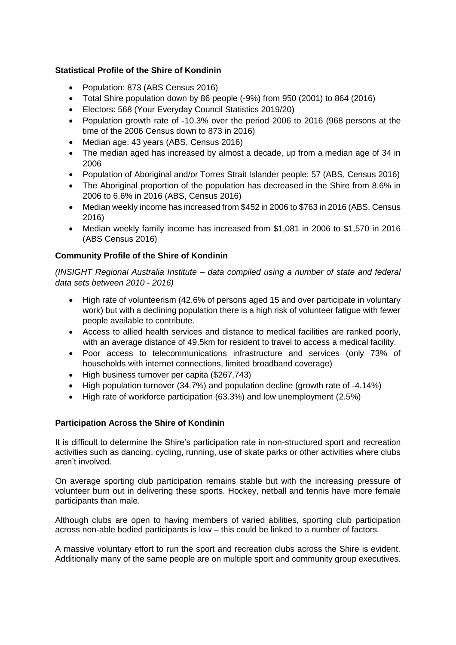#### **Statistical Profile of the Shire of Kondinin**

- Population: 873 (ABS Census 2016)
- Total Shire population down by 86 people (-9%) from 950 (2001) to 864 (2016)
- Electors: 568 (Your Everyday Council Statistics 2019/20)
- Population growth rate of -10.3% over the period 2006 to 2016 (968 persons at the time of the 2006 Census down to 873 in 2016)
- Median age: 43 years (ABS, Census 2016)
- The median aged has increased by almost a decade, up from a median age of 34 in 2006
- Population of Aboriginal and/or Torres Strait Islander people: 57 (ABS, Census 2016)
- The Aboriginal proportion of the population has decreased in the Shire from 8.6% in 2006 to 6.6% in 2016 (ABS, Census 2016)
- Median weekly income has increased from \$452 in 2006 to \$763 in 2016 (ABS, Census 2016)
- Median weekly family income has increased from \$1,081 in 2006 to \$1,570 in 2016 (ABS Census 2016)

#### **Community Profile of the Shire of Kondinin**

*(INSIGHT Regional Australia Institute – data compiled using a number of state and federal data sets between 2010 - 2016)*

- High rate of volunteerism (42.6% of persons aged 15 and over participate in voluntary work) but with a declining population there is a high risk of volunteer fatigue with fewer people available to contribute.
- Access to allied health services and distance to medical facilities are ranked poorly, with an average distance of 49.5km for resident to travel to access a medical facility.
- Poor access to telecommunications infrastructure and services (only 73% of households with internet connections, limited broadband coverage)
- High business turnover per capita (\$267,743)
- High population turnover (34.7%) and population decline (growth rate of -4.14%)
- High rate of workforce participation (63.3%) and low unemployment (2.5%)

#### **Participation Across the Shire of Kondinin**

It is difficult to determine the Shire's participation rate in non-structured sport and recreation activities such as dancing, cycling, running, use of skate parks or other activities where clubs aren't involved.

On average sporting club participation remains stable but with the increasing pressure of volunteer burn out in delivering these sports. Hockey, netball and tennis have more female participants than male.

Although clubs are open to having members of varied abilities, sporting club participation across non-able bodied participants is low – this could be linked to a number of factors.

A massive voluntary effort to run the sport and recreation clubs across the Shire is evident. Additionally many of the same people are on multiple sport and community group executives.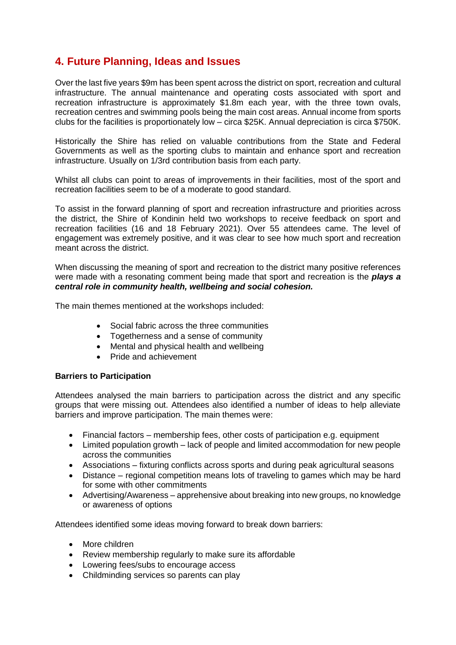# <span id="page-6-0"></span>**4. Future Planning, Ideas and Issues**

Over the last five years \$9m has been spent across the district on sport, recreation and cultural infrastructure. The annual maintenance and operating costs associated with sport and recreation infrastructure is approximately \$1.8m each year, with the three town ovals, recreation centres and swimming pools being the main cost areas. Annual income from sports clubs for the facilities is proportionately low – circa \$25K. Annual depreciation is circa \$750K.

Historically the Shire has relied on valuable contributions from the State and Federal Governments as well as the sporting clubs to maintain and enhance sport and recreation infrastructure. Usually on 1/3rd contribution basis from each party.

Whilst all clubs can point to areas of improvements in their facilities, most of the sport and recreation facilities seem to be of a moderate to good standard.

To assist in the forward planning of sport and recreation infrastructure and priorities across the district, the Shire of Kondinin held two workshops to receive feedback on sport and recreation facilities (16 and 18 February 2021). Over 55 attendees came. The level of engagement was extremely positive, and it was clear to see how much sport and recreation meant across the district.

When discussing the meaning of sport and recreation to the district many positive references were made with a resonating comment being made that sport and recreation is the *plays a central role in community health, wellbeing and social cohesion.*

The main themes mentioned at the workshops included:

- Social fabric across the three communities
- Togetherness and a sense of community
- Mental and physical health and wellbeing
- Pride and achievement

#### **Barriers to Participation**

Attendees analysed the main barriers to participation across the district and any specific groups that were missing out. Attendees also identified a number of ideas to help alleviate barriers and improve participation. The main themes were:

- Financial factors membership fees, other costs of participation e.g. equipment
- Limited population growth lack of people and limited accommodation for new people across the communities
- Associations fixturing conflicts across sports and during peak agricultural seasons
- Distance regional competition means lots of traveling to games which may be hard for some with other commitments
- Advertising/Awareness apprehensive about breaking into new groups, no knowledge or awareness of options

Attendees identified some ideas moving forward to break down barriers:

- More children
- Review membership regularly to make sure its affordable
- Lowering fees/subs to encourage access
- Childminding services so parents can play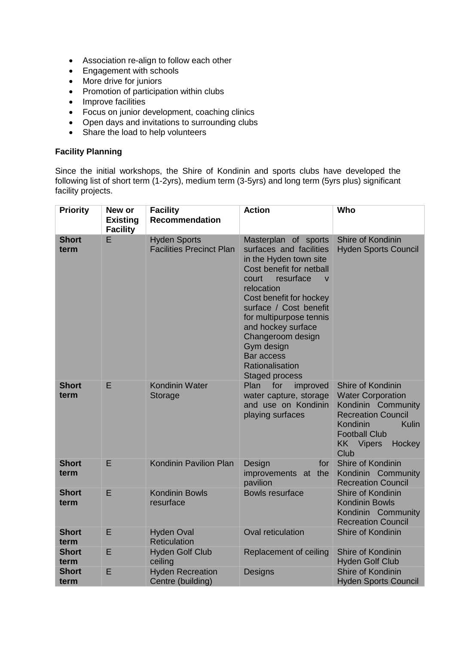- Association re-align to follow each other
- Engagement with schools
- More drive for juniors
- Promotion of participation within clubs
- Improve facilities
- Focus on junior development, coaching clinics
- Open days and invitations to surrounding clubs
- Share the load to help volunteers

#### **Facility Planning**

Since the initial workshops, the Shire of Kondinin and sports clubs have developed the following list of short term (1-2yrs), medium term (3-5yrs) and long term (5yrs plus) significant facility projects.

| <b>Priority</b>      | New or<br><b>Existing</b><br><b>Facility</b> | <b>Facility</b><br>Recommendation                      | <b>Action</b>                                                                                                                                                                                                                                                                                                                                          | Who                                                                                                                                                                                 |
|----------------------|----------------------------------------------|--------------------------------------------------------|--------------------------------------------------------------------------------------------------------------------------------------------------------------------------------------------------------------------------------------------------------------------------------------------------------------------------------------------------------|-------------------------------------------------------------------------------------------------------------------------------------------------------------------------------------|
| <b>Short</b><br>term | E                                            | <b>Hyden Sports</b><br><b>Facilities Precinct Plan</b> | Masterplan of sports<br>surfaces and facilities<br>in the Hyden town site<br>Cost benefit for netball<br>resurface<br>court<br>$\vee$<br>relocation<br>Cost benefit for hockey<br>surface / Cost benefit<br>for multipurpose tennis<br>and hockey surface<br>Changeroom design<br>Gym design<br>Bar access<br>Rationalisation<br><b>Staged process</b> | Shire of Kondinin<br><b>Hyden Sports Council</b>                                                                                                                                    |
| <b>Short</b><br>term | E                                            | <b>Kondinin Water</b><br>Storage                       | Plan<br>for<br>improved<br>water capture, storage<br>and use on Kondinin<br>playing surfaces                                                                                                                                                                                                                                                           | Shire of Kondinin<br><b>Water Corporation</b><br>Kondinin Community<br><b>Recreation Council</b><br>Kondinin<br>Kulin<br><b>Football Club</b><br><b>KK</b> Vipers<br>Hockey<br>Club |
| <b>Short</b><br>term | E                                            | <b>Kondinin Pavilion Plan</b>                          | Design<br>for<br>improvements at the<br>pavilion                                                                                                                                                                                                                                                                                                       | Shire of Kondinin<br>Kondinin Community<br><b>Recreation Council</b>                                                                                                                |
| <b>Short</b><br>term | E                                            | <b>Kondinin Bowls</b><br>resurface                     | <b>Bowls resurface</b>                                                                                                                                                                                                                                                                                                                                 | Shire of Kondinin<br><b>Kondinin Bowls</b><br>Kondinin Community<br><b>Recreation Council</b>                                                                                       |
| <b>Short</b><br>term | E                                            | <b>Hyden Oval</b><br><b>Reticulation</b>               | <b>Oval reticulation</b>                                                                                                                                                                                                                                                                                                                               | Shire of Kondinin                                                                                                                                                                   |
| <b>Short</b><br>term | E                                            | <b>Hyden Golf Club</b><br>ceiling                      | Replacement of ceiling                                                                                                                                                                                                                                                                                                                                 | Shire of Kondinin<br><b>Hyden Golf Club</b>                                                                                                                                         |
| <b>Short</b><br>term | E                                            | <b>Hyden Recreation</b><br>Centre (building)           | Designs                                                                                                                                                                                                                                                                                                                                                | Shire of Kondinin<br><b>Hyden Sports Council</b>                                                                                                                                    |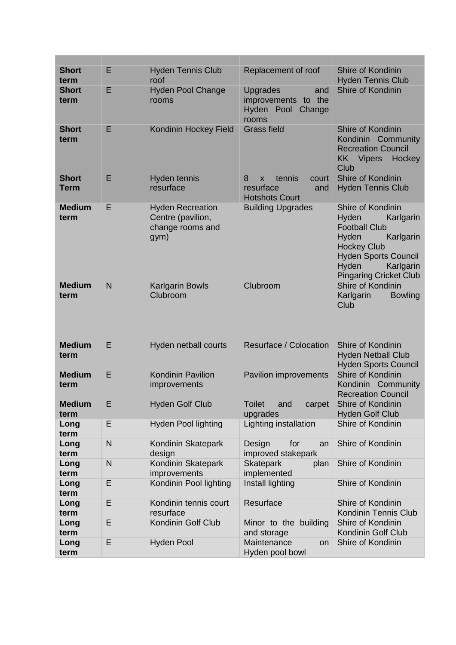| <b>Short</b><br>term        | E | <b>Hyden Tennis Club</b><br>roof                                         | Replacement of roof                                                         | <b>Shire of Kondinin</b><br><b>Hyden Tennis Club</b>                                                                                                                                              |
|-----------------------------|---|--------------------------------------------------------------------------|-----------------------------------------------------------------------------|---------------------------------------------------------------------------------------------------------------------------------------------------------------------------------------------------|
| <b>Short</b><br>term        | Е | <b>Hyden Pool Change</b><br>rooms                                        | <b>Upgrades</b><br>and<br>improvements to the<br>Hyden Pool Change<br>rooms | Shire of Kondinin                                                                                                                                                                                 |
| <b>Short</b><br>term        | E | Kondinin Hockey Field                                                    | <b>Grass field</b>                                                          | <b>Shire of Kondinin</b><br>Kondinin Community<br><b>Recreation Council</b><br><b>KK</b> Vipers<br>Hockey<br>Club                                                                                 |
| <b>Short</b><br><b>Term</b> | E | Hyden tennis<br>resurface                                                | tennis<br>8<br>court<br>X<br>resurface<br>and<br><b>Hotshots Court</b>      | Shire of Kondinin<br><b>Hyden Tennis Club</b>                                                                                                                                                     |
| <b>Medium</b><br>term       | Е | <b>Hyden Recreation</b><br>Centre (pavilion,<br>change rooms and<br>gym) | <b>Building Upgrades</b>                                                    | Shire of Kondinin<br>Hyden<br>Karlgarin<br><b>Football Club</b><br>Hyden<br>Karlgarin<br><b>Hockey Club</b><br><b>Hyden Sports Council</b><br>Hyden<br>Karlgarin<br><b>Pingaring Cricket Club</b> |
| <b>Medium</b><br>term       | N | <b>Karlgarin Bowls</b><br>Clubroom                                       | Clubroom                                                                    | Shire of Kondinin<br>Karlgarin<br><b>Bowling</b><br>Club                                                                                                                                          |
| <b>Medium</b><br>term       | E | Hyden netball courts                                                     | Resurface / Colocation                                                      | Shire of Kondinin<br><b>Hyden Netball Club</b><br><b>Hyden Sports Council</b>                                                                                                                     |
| <b>Medium</b><br>term       | E | <b>Kondinin Pavilion</b><br>improvements                                 | Pavilion improvements                                                       | <b>Shire of Kondinin</b><br>Kondinin Community<br><b>Recreation Council</b>                                                                                                                       |
| <b>Medium</b><br>term       | Ε | <b>Hyden Golf Club</b>                                                   | <b>Toilet</b><br>and<br>carpet<br>upgrades                                  | Shire of Kondinin<br><b>Hyden Golf Club</b>                                                                                                                                                       |
| Long<br>term                | E | <b>Hyden Pool lighting</b>                                               | Lighting installation                                                       | Shire of Kondinin                                                                                                                                                                                 |
| Long<br>term                | N | Kondinin Skatepark<br>design                                             | Design<br>for<br>an<br>improved stakepark                                   | Shire of Kondinin                                                                                                                                                                                 |
| Long<br>term                | N | Kondinin Skatepark<br>improvements                                       | <b>Skatepark</b><br>plan<br>implemented                                     | Shire of Kondinin                                                                                                                                                                                 |
| Long<br>term                | E | Kondinin Pool lighting                                                   | Install lighting                                                            | Shire of Kondinin                                                                                                                                                                                 |
| Long<br>term                | E | Kondinin tennis court<br>resurface                                       | Resurface                                                                   | Shire of Kondinin<br>Kondinin Tennis Club                                                                                                                                                         |
| Long<br>term                | E | Kondinin Golf Club                                                       | Minor to the building                                                       | Shire of Kondinin<br>Kondinin Golf Club                                                                                                                                                           |
|                             |   |                                                                          | and storage                                                                 |                                                                                                                                                                                                   |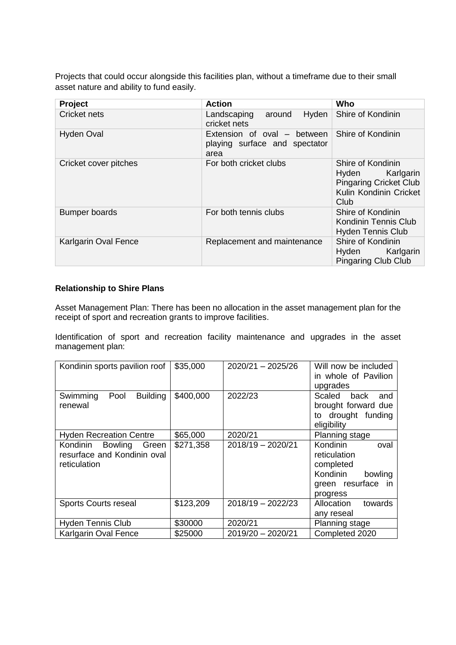Projects that could occur alongside this facilities plan, without a timeframe due to their small asset nature and ability to fund easily.

| Project                     | <b>Action</b>                                                        | Who                                                                                                     |
|-----------------------------|----------------------------------------------------------------------|---------------------------------------------------------------------------------------------------------|
| Cricket nets                | Hyden<br>Landscaping<br>around<br>cricket nets                       | Shire of Kondinin                                                                                       |
| <b>Hyden Oval</b>           | Extension of oval – between<br>playing surface and spectator<br>area | Shire of Kondinin                                                                                       |
| Cricket cover pitches       | For both cricket clubs                                               | Shire of Kondinin<br>Hyden Karlgarin<br><b>Pingaring Cricket Club</b><br>Kulin Kondinin Cricket<br>Club |
| <b>Bumper boards</b>        | For both tennis clubs                                                | Shire of Kondinin<br>Kondinin Tennis Club<br><b>Hyden Tennis Club</b>                                   |
| <b>Karlgarin Oval Fence</b> | Replacement and maintenance                                          | Shire of Kondinin<br>Hyden Karlgarin<br><b>Pingaring Club Club</b>                                      |

#### **Relationship to Shire Plans**

Asset Management Plan: There has been no allocation in the asset management plan for the receipt of sport and recreation grants to improve facilities.

Identification of sport and recreation facility maintenance and upgrades in the asset management plan:

| Kondinin sports pavilion roof                                               | \$35,000  | $2020/21 - 2025/26$ | Will now be included<br>in whole of Pavilion<br>upgrades                            |  |
|-----------------------------------------------------------------------------|-----------|---------------------|-------------------------------------------------------------------------------------|--|
| <b>Building</b><br>Swimming<br>Pool<br>renewal                              | \$400,000 | 2022/23             | Scaled back<br>and<br>brought forward due<br>to drought funding<br>eligibility      |  |
| <b>Hyden Recreation Centre</b>                                              | \$65,000  | 2020/21             | Planning stage<br>oval<br>bowling<br>towards                                        |  |
| Bowling<br>Kondinin<br>Green<br>resurface and Kondinin oval<br>reticulation | \$271,358 | $2018/19 - 2020/21$ | Kondinin<br>reticulation<br>completed<br>Kondinin<br>green resurface in<br>progress |  |
| <b>Sports Courts reseal</b>                                                 | \$123,209 | $2018/19 - 2022/23$ | Allocation<br>any reseal                                                            |  |
| <b>Hyden Tennis Club</b>                                                    | \$30000   | 2020/21             | Planning stage                                                                      |  |
| <b>Karlgarin Oval Fence</b>                                                 | \$25000   | 2019/20 - 2020/21   | Completed 2020                                                                      |  |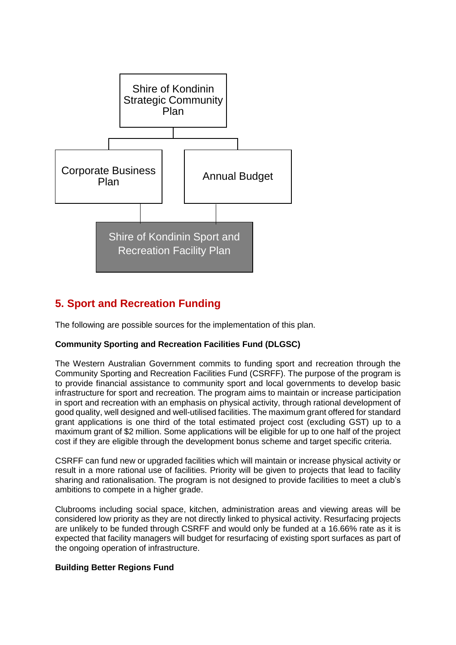

# <span id="page-10-0"></span>**5. Sport and Recreation Funding**

The following are possible sources for the implementation of this plan.

#### **Community Sporting and Recreation Facilities Fund (DLGSC)**

The Western Australian Government commits to funding sport and recreation through the Community Sporting and Recreation Facilities Fund (CSRFF). The purpose of the program is to provide financial assistance to community sport and local governments to develop basic infrastructure for sport and recreation. The program aims to maintain or increase participation in sport and recreation with an emphasis on physical activity, through rational development of good quality, well designed and well-utilised facilities. The maximum grant offered for standard grant applications is one third of the total estimated project cost (excluding GST) up to a maximum grant of \$2 million. Some applications will be eligible for up to one half of the project cost if they are eligible through the development bonus scheme and target specific criteria.

CSRFF can fund new or upgraded facilities which will maintain or increase physical activity or result in a more rational use of facilities. Priority will be given to projects that lead to facility sharing and rationalisation. The program is not designed to provide facilities to meet a club's ambitions to compete in a higher grade.

Clubrooms including social space, kitchen, administration areas and viewing areas will be considered low priority as they are not directly linked to physical activity. Resurfacing projects are unlikely to be funded through CSRFF and would only be funded at a 16.66% rate as it is expected that facility managers will budget for resurfacing of existing sport surfaces as part of the ongoing operation of infrastructure.

#### **Building Better Regions Fund**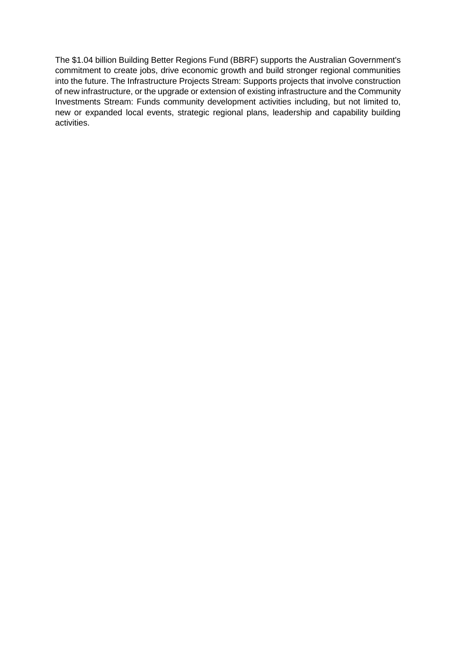The \$1.04 billion Building Better Regions Fund (BBRF) supports the Australian Government's commitment to create jobs, drive economic growth and build stronger regional communities into the future. The Infrastructure Projects Stream: Supports projects that involve construction of new infrastructure, or the upgrade or extension of existing infrastructure and the Community Investments Stream: Funds community development activities including, but not limited to, new or expanded local events, strategic regional plans, leadership and capability building activities.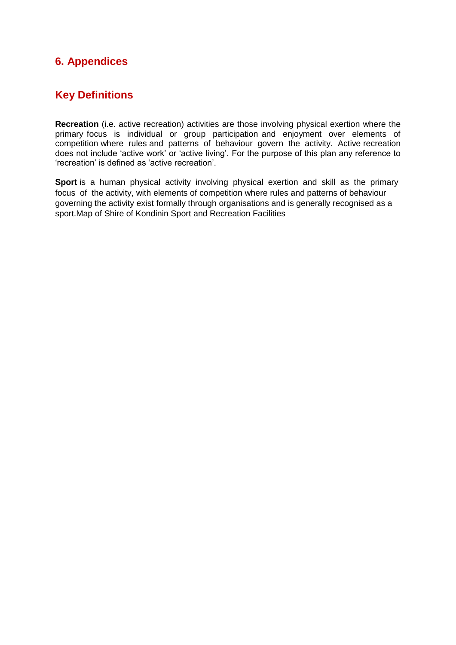# <span id="page-12-0"></span>**6. Appendices**

# **Key Definitions**

**Recreation** (i.e. active recreation) activities are those involving physical exertion where the primary focus is individual or group participation and enjoyment over elements of competition where rules and patterns of behaviour govern the activity. Active recreation does not include 'active work' or 'active living'. For the purpose of this plan any reference to 'recreation' is defined as 'active recreation'.

**Sport** is a human physical activity involving physical exertion and skill as the primary focus of the activity, with elements of competition where rules and patterns of behaviour governing the activity exist formally through organisations and is generally recognised as a sport.Map of Shire of Kondinin Sport and Recreation Facilities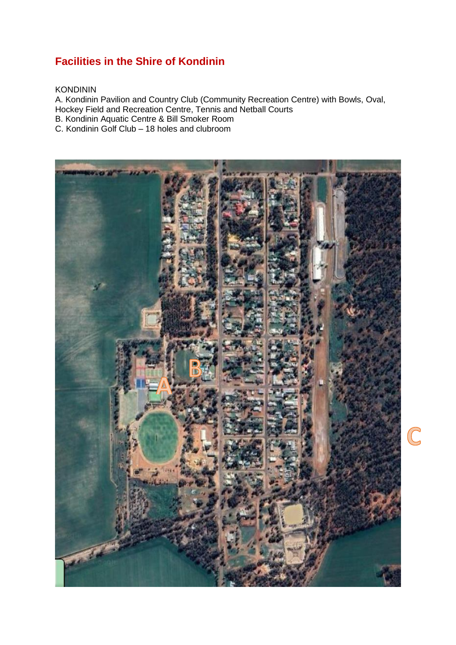# **Facilities in the Shire of Kondinin**

#### KONDININ

A. Kondinin Pavilion and Country Club (Community Recreation Centre) with Bowls, Oval, Hockey Field and Recreation Centre, Tennis and Netball Courts B. Kondinin Aquatic Centre & Bill Smoker Room C. Kondinin Golf Club – 18 holes and clubroom

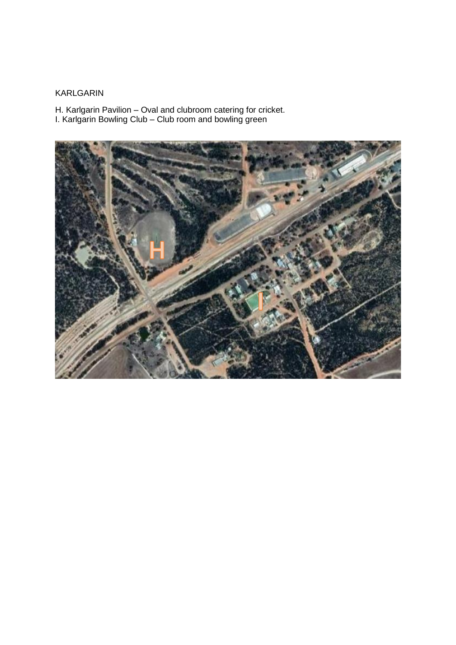# KARLGARIN

H. Karlgarin Pavilion – Oval and clubroom catering for cricket.

I. Karlgarin Bowling Club – Club room and bowling green

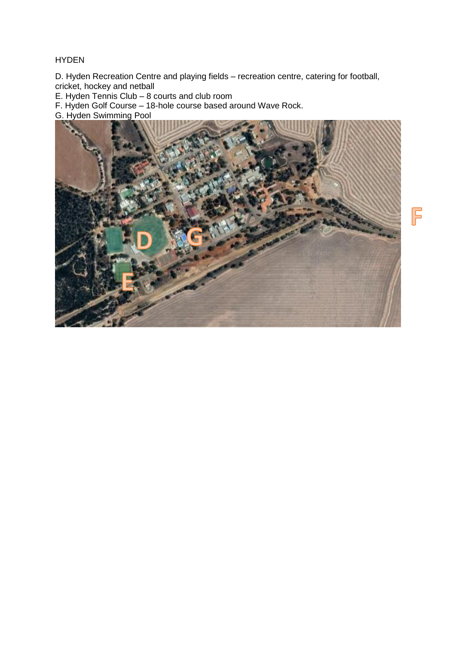#### HYDEN

D. Hyden Recreation Centre and playing fields – recreation centre, catering for football, cricket, hockey and netball

E. Hyden Tennis Club – 8 courts and club room

F. Hyden Golf Course – 18-hole course based around Wave Rock.

G. Hyden Swimming Pool

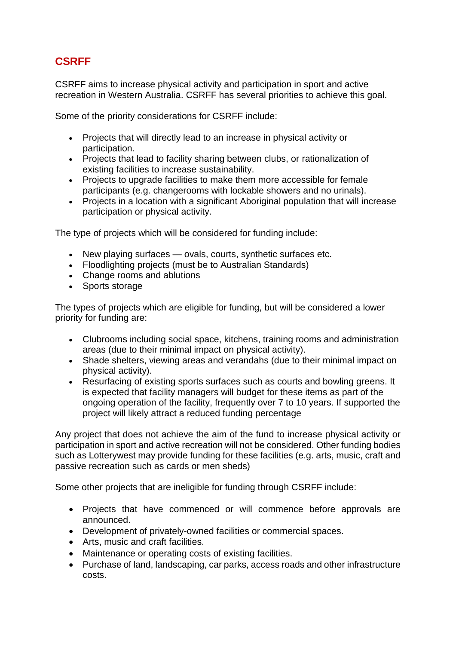# **CSRFF**

CSRFF aims to increase physical activity and participation in sport and active recreation in Western Australia. CSRFF has several priorities to achieve this goal.

Some of the priority considerations for CSRFF include:

- Projects that will directly lead to an increase in physical activity or participation.
- Projects that lead to facility sharing between clubs, or rationalization of existing facilities to increase sustainability.
- Projects to upgrade facilities to make them more accessible for female participants (e.g. changerooms with lockable showers and no urinals).
- Projects in a location with a significant Aboriginal population that will increase participation or physical activity.

The type of projects which will be considered for funding include:

- New playing surfaces ovals, courts, synthetic surfaces etc.
- Floodlighting projects (must be to Australian Standards)
- Change rooms and ablutions
- Sports storage

The types of projects which are eligible for funding, but will be considered a lower priority for funding are:

- Clubrooms including social space, kitchens, training rooms and administration areas (due to their minimal impact on physical activity).
- Shade shelters, viewing areas and verandahs (due to their minimal impact on physical activity).
- Resurfacing of existing sports surfaces such as courts and bowling greens. It is expected that facility managers will budget for these items as part of the ongoing operation of the facility, frequently over 7 to 10 years. If supported the project will likely attract a reduced funding percentage

Any project that does not achieve the aim of the fund to increase physical activity or participation in sport and active recreation will not be considered. Other funding bodies such as Lotterywest may provide funding for these facilities (e.g. arts, music, craft and passive recreation such as cards or men sheds)

Some other projects that are ineligible for funding through CSRFF include:

- Projects that have commenced or will commence before approvals are announced.
- Development of privately-owned facilities or commercial spaces.
- Arts, music and craft facilities.
- Maintenance or operating costs of existing facilities.
- Purchase of land, landscaping, car parks, access roads and other infrastructure costs.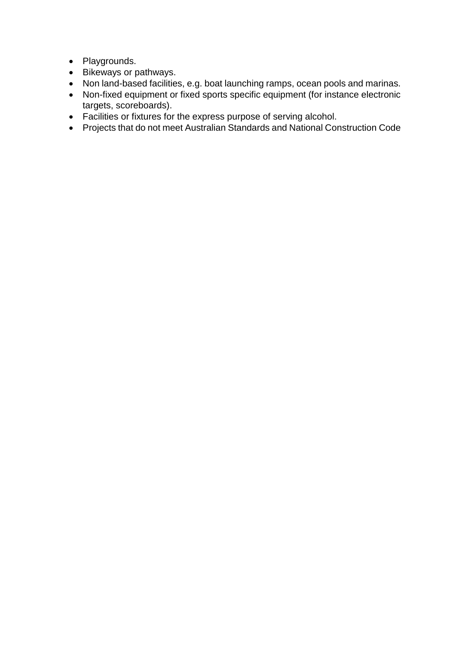- Playgrounds.
- Bikeways or pathways.
- Non land-based facilities, e.g. boat launching ramps, ocean pools and marinas.
- Non-fixed equipment or fixed sports specific equipment (for instance electronic targets, scoreboards).
- Facilities or fixtures for the express purpose of serving alcohol.
- Projects that do not meet Australian Standards and National Construction Code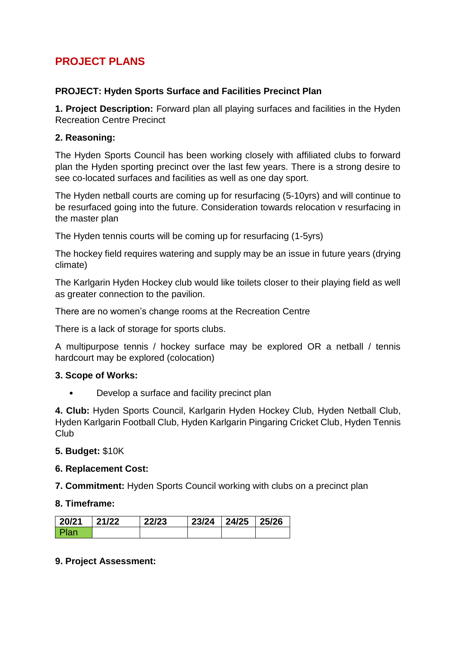# **PROJECT PLANS**

# **PROJECT: Hyden Sports Surface and Facilities Precinct Plan**

**1. Project Description:** Forward plan all playing surfaces and facilities in the Hyden Recreation Centre Precinct

## **2. Reasoning:**

The Hyden Sports Council has been working closely with affiliated clubs to forward plan the Hyden sporting precinct over the last few years. There is a strong desire to see co-located surfaces and facilities as well as one day sport.

The Hyden netball courts are coming up for resurfacing (5-10yrs) and will continue to be resurfaced going into the future. Consideration towards relocation v resurfacing in the master plan

The Hyden tennis courts will be coming up for resurfacing (1-5yrs)

The hockey field requires watering and supply may be an issue in future years (drying climate)

The Karlgarin Hyden Hockey club would like toilets closer to their playing field as well as greater connection to the pavilion.

There are no women's change rooms at the Recreation Centre

There is a lack of storage for sports clubs.

A multipurpose tennis / hockey surface may be explored OR a netball / tennis hardcourt may be explored (colocation)

# **3. Scope of Works:**

• Develop a surface and facility precinct plan

**4. Club:** Hyden Sports Council, Karlgarin Hyden Hockey Club, Hyden Netball Club, Hyden Karlgarin Football Club, Hyden Karlgarin Pingaring Cricket Club, Hyden Tennis Club

#### **5. Budget:** \$10K

#### **6. Replacement Cost:**

**7. Commitment:** Hyden Sports Council working with clubs on a precinct plan

#### **8. Timeframe:**

| 20/21  | 21/22 | 22/23 | 23/24 24/25 25/26 |  |
|--------|-------|-------|-------------------|--|
| l Plan |       |       |                   |  |

# **9. Project Assessment:**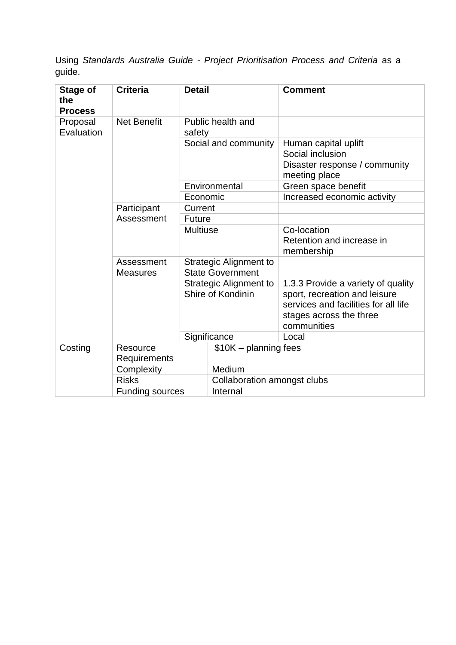| Stage of<br>the<br><b>Process</b> | <b>Criteria</b>               | <b>Detail</b>                                            |                                                    | <b>Comment</b>                                                                                                                                        |
|-----------------------------------|-------------------------------|----------------------------------------------------------|----------------------------------------------------|-------------------------------------------------------------------------------------------------------------------------------------------------------|
| Proposal<br>Evaluation            | <b>Net Benefit</b>            | safety                                                   | Public health and                                  |                                                                                                                                                       |
|                                   |                               |                                                          | Social and community                               | Human capital uplift<br>Social inclusion<br>Disaster response / community<br>meeting place                                                            |
|                                   |                               |                                                          | Environmental                                      | Green space benefit                                                                                                                                   |
|                                   |                               | Economic                                                 |                                                    | Increased economic activity                                                                                                                           |
|                                   | Participant                   | Current                                                  |                                                    |                                                                                                                                                       |
|                                   | Assessment                    | <b>Future</b>                                            |                                                    |                                                                                                                                                       |
|                                   |                               | <b>Multiuse</b>                                          |                                                    | Co-location<br>Retention and increase in<br>membership                                                                                                |
|                                   | Assessment<br><b>Measures</b> | <b>Strategic Alignment to</b><br><b>State Government</b> |                                                    |                                                                                                                                                       |
|                                   |                               |                                                          | <b>Strategic Alignment to</b><br>Shire of Kondinin | 1.3.3 Provide a variety of quality<br>sport, recreation and leisure<br>services and facilities for all life<br>stages across the three<br>communities |
|                                   |                               |                                                          | Significance                                       | Local                                                                                                                                                 |
| Costing                           | Resource<br>Requirements      |                                                          | $$10K - planning fees$                             |                                                                                                                                                       |
|                                   | Complexity                    |                                                          | Medium                                             |                                                                                                                                                       |
|                                   | <b>Risks</b>                  |                                                          | Collaboration amongst clubs                        |                                                                                                                                                       |
|                                   | <b>Funding sources</b>        |                                                          | Internal                                           |                                                                                                                                                       |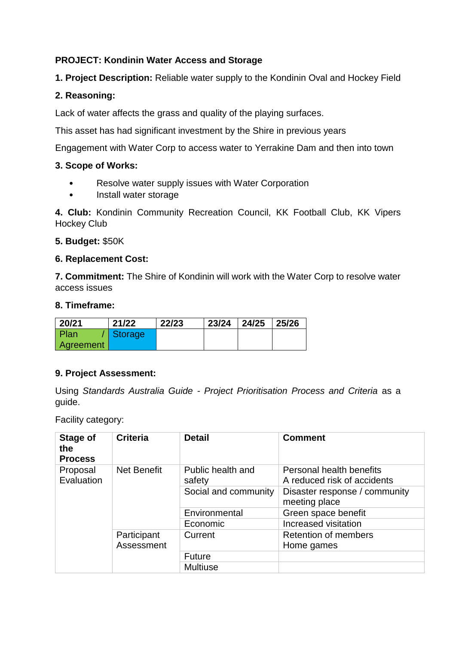# **PROJECT: Kondinin Water Access and Storage**

**1. Project Description:** Reliable water supply to the Kondinin Oval and Hockey Field

# **2. Reasoning:**

Lack of water affects the grass and quality of the playing surfaces.

This asset has had significant investment by the Shire in previous years

Engagement with Water Corp to access water to Yerrakine Dam and then into town

## **3. Scope of Works:**

- Resolve water supply issues with Water Corporation
- Install water storage

**4. Club:** Kondinin Community Recreation Council, KK Football Club, KK Vipers Hockey Club

**5. Budget:** \$50K

## **6. Replacement Cost:**

**7. Commitment:** The Shire of Kondinin will work with the Water Corp to resolve water access issues

#### **8. Timeframe:**

| $20/21$   | 21/22   | 22/23 | 23/24 | $\mid$ 24/25 | 25/26 |
|-----------|---------|-------|-------|--------------|-------|
| Plan      | Storage |       |       |              |       |
| Agreement |         |       |       |              |       |

# **9. Project Assessment:**

Using *Standards Australia Guide - Project Prioritisation Process and Criteria* as a guide.

Facility category:

| Stage of<br>the<br><b>Process</b>            | <b>Criteria</b>           | <b>Detail</b>               | <b>Comment</b>                                          |
|----------------------------------------------|---------------------------|-----------------------------|---------------------------------------------------------|
| <b>Net Benefit</b><br>Proposal<br>Evaluation |                           | Public health and<br>safety | Personal health benefits<br>A reduced risk of accidents |
|                                              |                           | Social and community        | Disaster response / community<br>meeting place          |
|                                              |                           | Environmental               | Green space benefit                                     |
|                                              |                           | Economic                    | Increased visitation                                    |
|                                              | Participant<br>Assessment | Current                     | <b>Retention of members</b><br>Home games               |
|                                              |                           | <b>Future</b>               |                                                         |
|                                              |                           | <b>Multiuse</b>             |                                                         |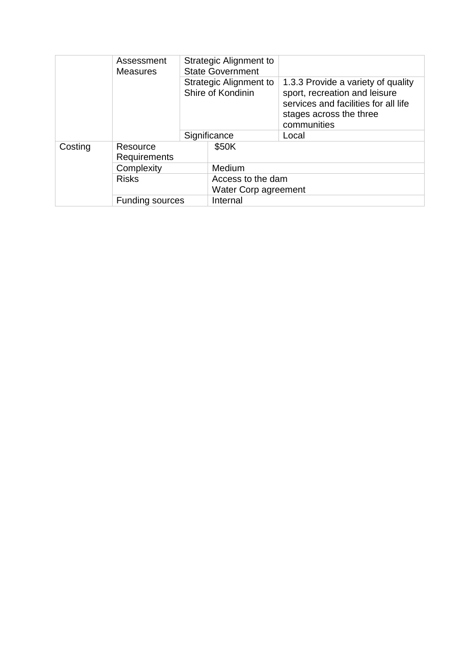|         | Assessment<br><b>Measures</b> |  | Strategic Alignment to<br><b>State Government</b> |                                                                                                                                                       |  |
|---------|-------------------------------|--|---------------------------------------------------|-------------------------------------------------------------------------------------------------------------------------------------------------------|--|
|         |                               |  | Strategic Alignment to<br>Shire of Kondinin       | 1.3.3 Provide a variety of quality<br>sport, recreation and leisure<br>services and facilities for all life<br>stages across the three<br>communities |  |
|         |                               |  | Significance                                      | Local                                                                                                                                                 |  |
| Costing | Resource<br>Requirements      |  | \$50K                                             |                                                                                                                                                       |  |
|         | Complexity<br><b>Risks</b>    |  | Medium                                            |                                                                                                                                                       |  |
|         |                               |  | Access to the dam<br>Water Corp agreement         |                                                                                                                                                       |  |
|         | <b>Funding sources</b>        |  | Internal                                          |                                                                                                                                                       |  |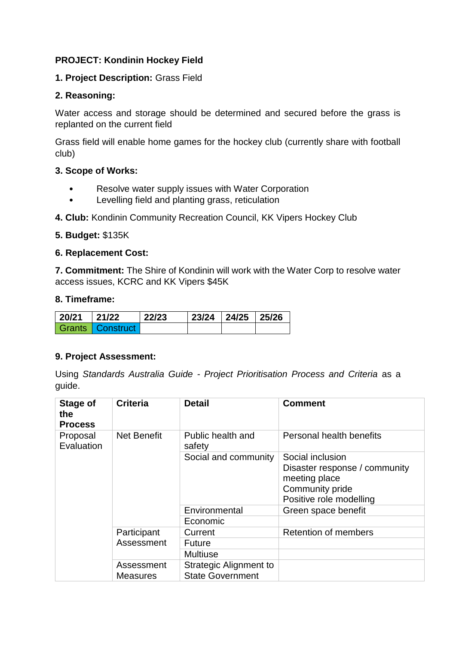# **PROJECT: Kondinin Hockey Field**

#### **1. Project Description:** Grass Field

#### **2. Reasoning:**

Water access and storage should be determined and secured before the grass is replanted on the current field

Grass field will enable home games for the hockey club (currently share with football club)

#### **3. Scope of Works:**

- Resolve water supply issues with Water Corporation
- Levelling field and planting grass, reticulation
- **4. Club:** Kondinin Community Recreation Council, KK Vipers Hockey Club

#### **5. Budget:** \$135K

#### **6. Replacement Cost:**

**7. Commitment:** The Shire of Kondinin will work with the Water Corp to resolve water access issues, KCRC and KK Vipers \$45K

#### **8. Timeframe:**

| $ 20/21 $ 21/22 |                    | $\mid$ 22/23 | 23/24   24/25   25/26 |  |
|-----------------|--------------------|--------------|-----------------------|--|
|                 | Grants   Construct |              |                       |  |

#### **9. Project Assessment:**

| <b>Stage of</b><br>the<br><b>Process</b>     | <b>Criteria</b>               | <b>Detail</b>                                            | <b>Comment</b>                                                                                                   |
|----------------------------------------------|-------------------------------|----------------------------------------------------------|------------------------------------------------------------------------------------------------------------------|
| <b>Net Benefit</b><br>Proposal<br>Evaluation |                               | Public health and<br>safety                              | Personal health benefits                                                                                         |
|                                              |                               | Social and community                                     | Social inclusion<br>Disaster response / community<br>meeting place<br>Community pride<br>Positive role modelling |
|                                              |                               | Environmental                                            | Green space benefit                                                                                              |
|                                              |                               | Economic                                                 |                                                                                                                  |
|                                              | Participant<br>Assessment     | Current                                                  | <b>Retention of members</b>                                                                                      |
|                                              |                               | <b>Future</b>                                            |                                                                                                                  |
|                                              |                               | <b>Multiuse</b>                                          |                                                                                                                  |
|                                              | Assessment<br><b>Measures</b> | <b>Strategic Alignment to</b><br><b>State Government</b> |                                                                                                                  |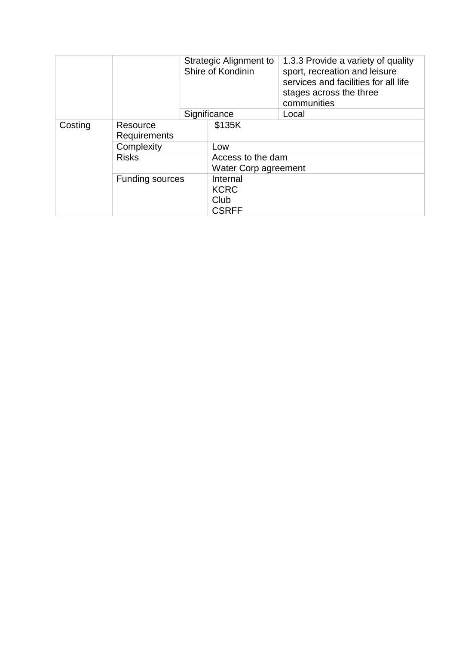|         |                          |  | <b>Strategic Alignment to</b><br>Shire of Kondinin | 1.3.3 Provide a variety of quality<br>sport, recreation and leisure<br>services and facilities for all life<br>stages across the three<br>communities |
|---------|--------------------------|--|----------------------------------------------------|-------------------------------------------------------------------------------------------------------------------------------------------------------|
|         |                          |  | Significance                                       | Local                                                                                                                                                 |
| Costing | Resource<br>Requirements |  | \$135K                                             |                                                                                                                                                       |
|         | Complexity               |  | Low                                                |                                                                                                                                                       |
|         | <b>Risks</b>             |  | Access to the dam<br>Water Corp agreement          |                                                                                                                                                       |
|         | <b>Funding sources</b>   |  | Internal<br><b>KCRC</b><br>Club<br><b>CSRFF</b>    |                                                                                                                                                       |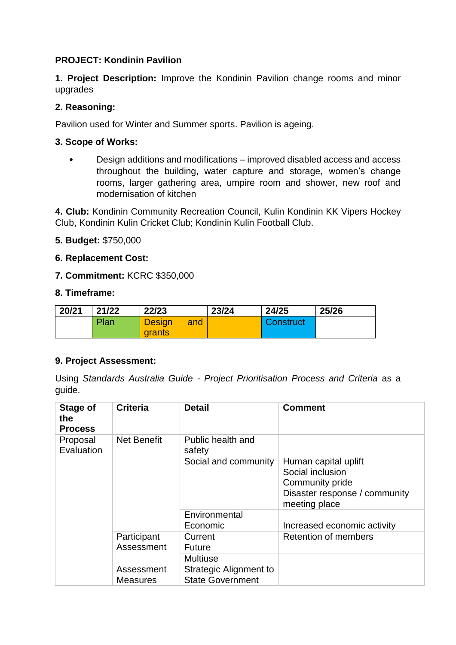# **PROJECT: Kondinin Pavilion**

**1. Project Description:** Improve the Kondinin Pavilion change rooms and minor upgrades

#### **2. Reasoning:**

Pavilion used for Winter and Summer sports. Pavilion is ageing.

#### **3. Scope of Works:**

• Design additions and modifications – improved disabled access and access throughout the building, water capture and storage, women's change rooms, larger gathering area, umpire room and shower, new roof and modernisation of kitchen

**4. Club:** Kondinin Community Recreation Council, Kulin Kondinin KK Vipers Hockey Club, Kondinin Kulin Cricket Club; Kondinin Kulin Football Club.

**5. Budget:** \$750,000

## **6. Replacement Cost:**

**7. Commitment:** KCRC \$350,000

#### **8. Timeframe:**

| 20/21 | 21/22 | 22/23           |     | 23/24 | 24/25     | 25/26 |
|-------|-------|-----------------|-----|-------|-----------|-------|
|       | Plan  | <b>Design</b>   | and |       | Construct |       |
|       |       | <b>I</b> grants |     |       |           |       |

#### **9. Project Assessment:**

| Stage of<br>the<br><b>Process</b>     | <b>Criteria</b>               | <b>Detail</b>                                     | <b>Comment</b>                                                                                                |
|---------------------------------------|-------------------------------|---------------------------------------------------|---------------------------------------------------------------------------------------------------------------|
| Net Benefit<br>Proposal<br>Evaluation | Public health and<br>safety   |                                                   |                                                                                                               |
|                                       |                               | Social and community                              | Human capital uplift<br>Social inclusion<br>Community pride<br>Disaster response / community<br>meeting place |
|                                       |                               | Environmental                                     |                                                                                                               |
|                                       |                               | Economic                                          | Increased economic activity                                                                                   |
|                                       | Participant<br>Assessment     | Current                                           | <b>Retention of members</b>                                                                                   |
|                                       |                               | <b>Future</b>                                     |                                                                                                               |
|                                       |                               | <b>Multiuse</b>                                   |                                                                                                               |
|                                       | Assessment<br><b>Measures</b> | Strategic Alignment to<br><b>State Government</b> |                                                                                                               |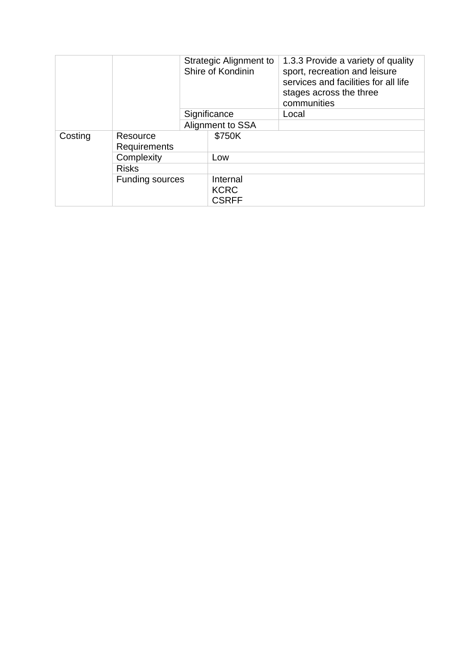|         |                                 |  | Strategic Alignment to<br>Shire of Kondinin | 1.3.3 Provide a variety of quality<br>sport, recreation and leisure<br>services and facilities for all life<br>stages across the three<br>communities |
|---------|---------------------------------|--|---------------------------------------------|-------------------------------------------------------------------------------------------------------------------------------------------------------|
|         |                                 |  | Significance                                | Local                                                                                                                                                 |
|         |                                 |  | Alignment to SSA                            |                                                                                                                                                       |
| Costing | Resource<br><b>Requirements</b> |  | \$750K                                      |                                                                                                                                                       |
|         | Complexity                      |  | Low                                         |                                                                                                                                                       |
|         | <b>Risks</b>                    |  |                                             |                                                                                                                                                       |
|         | <b>Funding sources</b>          |  | Internal<br><b>KCRC</b><br><b>CSRFF</b>     |                                                                                                                                                       |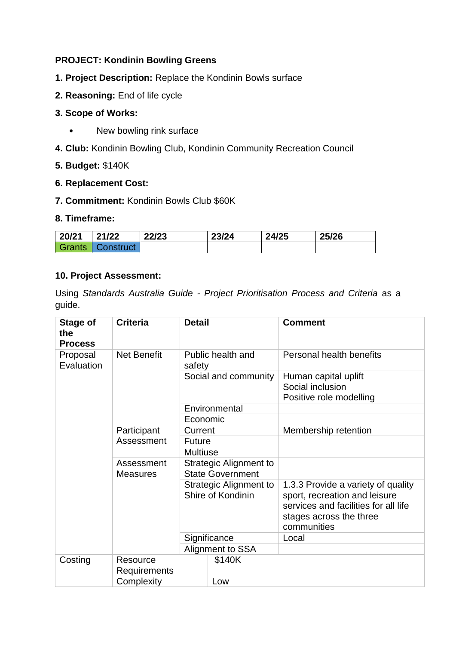# **PROJECT: Kondinin Bowling Greens**

- **1. Project Description:** Replace the Kondinin Bowls surface
- **2. Reasoning:** End of life cycle
- **3. Scope of Works:**
	- New bowling rink surface
- **4. Club:** Kondinin Bowling Club, Kondinin Community Recreation Council
- **5. Budget:** \$140K

#### **6. Replacement Cost:**

**7. Commitment:** Kondinin Bowls Club \$60K

#### **8. Timeframe:**

| 20/21  | 21/22     | 22/23 | 23/24 | 24/25 | 25/26 |
|--------|-----------|-------|-------|-------|-------|
| Grants | Construct |       |       |       |       |

## **10. Project Assessment:**

| Stage of<br>the<br><b>Process</b> | <b>Criteria</b>               | <b>Detail</b>                                     |                      | <b>Comment</b>                                                                                                                                        |
|-----------------------------------|-------------------------------|---------------------------------------------------|----------------------|-------------------------------------------------------------------------------------------------------------------------------------------------------|
| Proposal<br>Evaluation            | <b>Net Benefit</b>            | safety                                            | Public health and    | Personal health benefits                                                                                                                              |
|                                   |                               |                                                   | Social and community | Human capital uplift<br>Social inclusion<br>Positive role modelling                                                                                   |
|                                   |                               |                                                   | Environmental        |                                                                                                                                                       |
|                                   |                               | Economic                                          |                      |                                                                                                                                                       |
|                                   | Participant                   | Current                                           |                      | Membership retention                                                                                                                                  |
|                                   | Assessment                    | <b>Future</b>                                     |                      |                                                                                                                                                       |
|                                   |                               | <b>Multiuse</b>                                   |                      |                                                                                                                                                       |
|                                   | Assessment<br><b>Measures</b> | Strategic Alignment to<br><b>State Government</b> |                      |                                                                                                                                                       |
|                                   |                               | Strategic Alignment to<br>Shire of Kondinin       |                      | 1.3.3 Provide a variety of quality<br>sport, recreation and leisure<br>services and facilities for all life<br>stages across the three<br>communities |
|                                   |                               |                                                   | Significance         | Local                                                                                                                                                 |
|                                   |                               |                                                   | Alignment to SSA     |                                                                                                                                                       |
| Costing                           | Resource<br>Requirements      |                                                   | \$140K               |                                                                                                                                                       |
|                                   | Complexity                    |                                                   | Low                  |                                                                                                                                                       |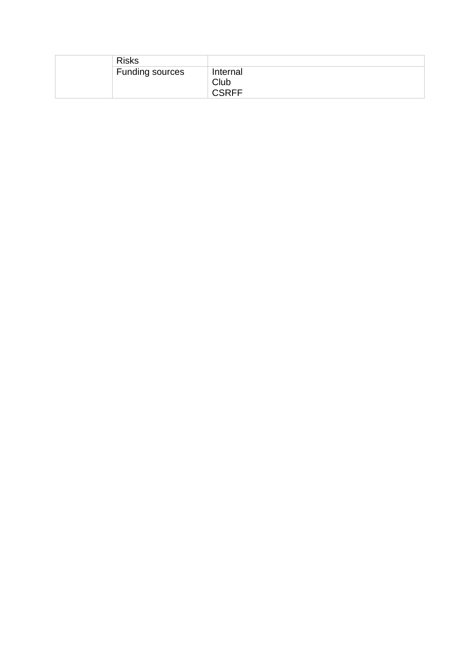| <b>Risks</b>           |                                      |
|------------------------|--------------------------------------|
| <b>Funding sources</b> | Internal<br>Club<br>$\mathsf{CSRFF}$ |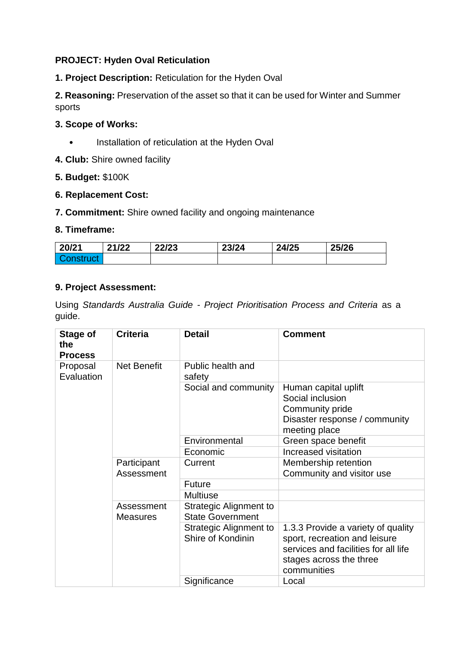# **PROJECT: Hyden Oval Reticulation**

**1. Project Description:** Reticulation for the Hyden Oval

**2. Reasoning:** Preservation of the asset so that it can be used for Winter and Summer sports

# **3. Scope of Works:**

- Installation of reticulation at the Hyden Oval
- **4. Club:** Shire owned facility

## **5. Budget:** \$100K

## **6. Replacement Cost:**

**7. Commitment:** Shire owned facility and ongoing maintenance

## **8. Timeframe:**

| 20/21 | 21/22 | 22/23 | 23/24 | 24/25 | 25/26 |
|-------|-------|-------|-------|-------|-------|
|       |       |       |       |       |       |

## **9. Project Assessment:**

| Stage of<br>the<br><b>Process</b> | <b>Criteria</b>               | <b>Detail</b>                                     | <b>Comment</b>                                                                                                                                        |
|-----------------------------------|-------------------------------|---------------------------------------------------|-------------------------------------------------------------------------------------------------------------------------------------------------------|
| Proposal<br>Evaluation            | <b>Net Benefit</b>            | Public health and<br>safety                       |                                                                                                                                                       |
|                                   |                               | Social and community                              | Human capital uplift<br>Social inclusion<br>Community pride<br>Disaster response / community<br>meeting place                                         |
|                                   |                               | Environmental                                     | Green space benefit                                                                                                                                   |
|                                   |                               | Economic                                          | Increased visitation                                                                                                                                  |
|                                   | Participant<br>Assessment     | Current                                           | Membership retention<br>Community and visitor use                                                                                                     |
|                                   |                               | <b>Future</b>                                     |                                                                                                                                                       |
|                                   |                               | <b>Multiuse</b>                                   |                                                                                                                                                       |
|                                   | Assessment<br><b>Measures</b> | Strategic Alignment to<br><b>State Government</b> |                                                                                                                                                       |
|                                   |                               | Strategic Alignment to<br>Shire of Kondinin       | 1.3.3 Provide a variety of quality<br>sport, recreation and leisure<br>services and facilities for all life<br>stages across the three<br>communities |
|                                   |                               | Significance                                      | Local                                                                                                                                                 |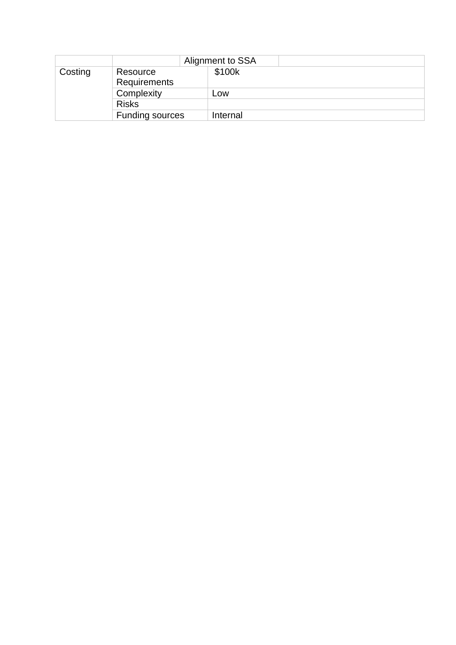|         |                          | Alignment to SSA |
|---------|--------------------------|------------------|
| Costing | Resource<br>Requirements | \$100k           |
|         | Complexity               | Low              |
|         | <b>Risks</b>             |                  |
|         | <b>Funding sources</b>   | Internal         |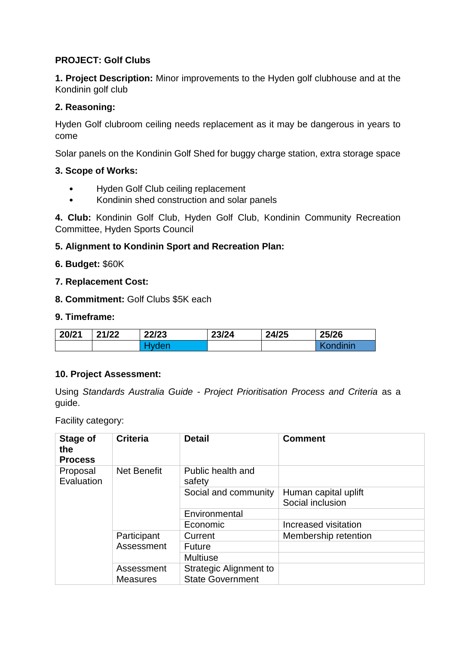# **PROJECT: Golf Clubs**

**1. Project Description:** Minor improvements to the Hyden golf clubhouse and at the Kondinin golf club

# **2. Reasoning:**

Hyden Golf clubroom ceiling needs replacement as it may be dangerous in years to come

Solar panels on the Kondinin Golf Shed for buggy charge station, extra storage space

#### **3. Scope of Works:**

- Hyden Golf Club ceiling replacement
- Kondinin shed construction and solar panels

**4. Club:** Kondinin Golf Club, Hyden Golf Club, Kondinin Community Recreation Committee, Hyden Sports Council

# **5. Alignment to Kondinin Sport and Recreation Plan:**

## **6. Budget:** \$60K

#### **7. Replacement Cost:**

**8. Commitment:** Golf Clubs \$5K each

#### **9. Timeframe:**

| 20/21 | 21/22 | 22/23 | 23/24 | 24/25 | 25/26    |
|-------|-------|-------|-------|-------|----------|
|       |       |       |       |       | Kondinin |

#### **10. Project Assessment:**

Using *Standards Australia Guide - Project Prioritisation Process and Criteria* as a guide.

Facility category:

| Stage of<br>the<br><b>Process</b> | <b>Criteria</b>               | <b>Detail</b>                                            | <b>Comment</b>                           |
|-----------------------------------|-------------------------------|----------------------------------------------------------|------------------------------------------|
| Proposal<br>Evaluation            | <b>Net Benefit</b>            | Public health and<br>safety                              |                                          |
|                                   |                               | Social and community                                     | Human capital uplift<br>Social inclusion |
|                                   |                               | Environmental                                            |                                          |
|                                   |                               | Economic                                                 | Increased visitation                     |
|                                   | Participant                   | Current                                                  | Membership retention                     |
|                                   | Assessment                    | <b>Future</b>                                            |                                          |
|                                   |                               | <b>Multiuse</b>                                          |                                          |
|                                   | Assessment<br><b>Measures</b> | <b>Strategic Alignment to</b><br><b>State Government</b> |                                          |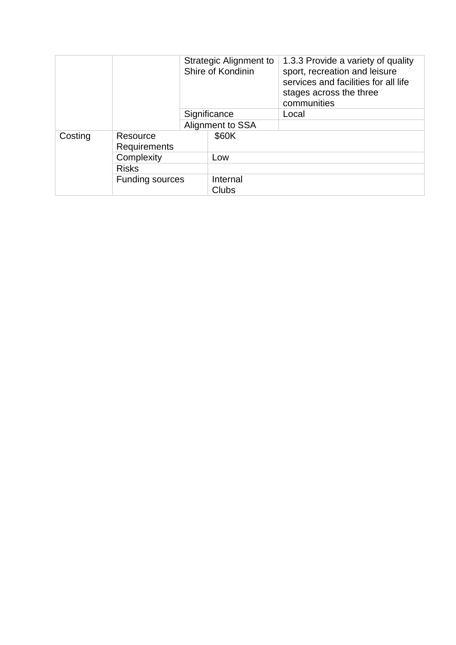|         |                          |  | Strategic Alignment to<br>Shire of Kondinin | 1.3.3 Provide a variety of quality<br>sport, recreation and leisure<br>services and facilities for all life<br>stages across the three<br>communities |
|---------|--------------------------|--|---------------------------------------------|-------------------------------------------------------------------------------------------------------------------------------------------------------|
|         |                          |  | Significance                                | Local                                                                                                                                                 |
|         |                          |  | Alignment to SSA                            |                                                                                                                                                       |
| Costing | Resource<br>Requirements |  | \$60K                                       |                                                                                                                                                       |
|         | Complexity               |  | Low                                         |                                                                                                                                                       |
|         | <b>Risks</b>             |  |                                             |                                                                                                                                                       |
|         | <b>Funding sources</b>   |  | Internal<br>Clubs                           |                                                                                                                                                       |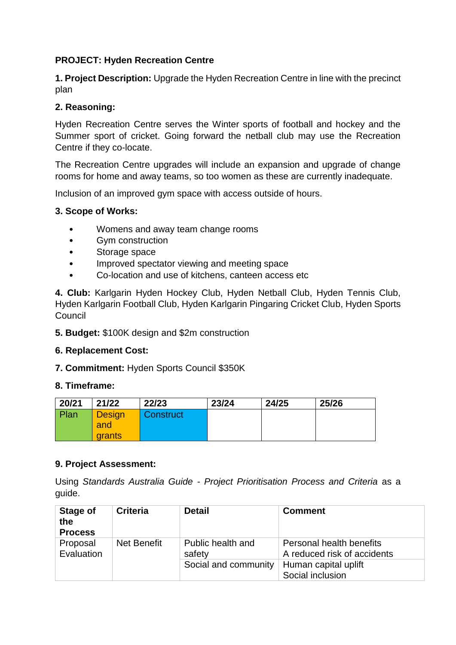# **PROJECT: Hyden Recreation Centre**

**1. Project Description:** Upgrade the Hyden Recreation Centre in line with the precinct plan

# **2. Reasoning:**

Hyden Recreation Centre serves the Winter sports of football and hockey and the Summer sport of cricket. Going forward the netball club may use the Recreation Centre if they co-locate.

The Recreation Centre upgrades will include an expansion and upgrade of change rooms for home and away teams, so too women as these are currently inadequate.

Inclusion of an improved gym space with access outside of hours.

## **3. Scope of Works:**

- Womens and away team change rooms
- Gym construction
- Storage space
- Improved spectator viewing and meeting space
- Co-location and use of kitchens, canteen access etc

**4. Club:** Karlgarin Hyden Hockey Club, Hyden Netball Club, Hyden Tennis Club, Hyden Karlgarin Football Club, Hyden Karlgarin Pingaring Cricket Club, Hyden Sports **Council** 

**5. Budget:** \$100K design and \$2m construction

#### **6. Replacement Cost:**

**7. Commitment:** Hyden Sports Council \$350K

#### **8. Timeframe:**

| 20/21 | 21/22         | 22/23     | 23/24 | 24/25 | 25/26 |
|-------|---------------|-----------|-------|-------|-------|
| Plan  | <b>Design</b> | Construct |       |       |       |
|       | and           |           |       |       |       |
|       | grants        |           |       |       |       |

#### **9. Project Assessment:**

| <b>Stage of</b><br>the<br><b>Process</b> | <b>Criteria</b> | <b>Detail</b>               | <b>Comment</b>                                          |
|------------------------------------------|-----------------|-----------------------------|---------------------------------------------------------|
| Proposal<br>Evaluation                   | Net Benefit     | Public health and<br>safety | Personal health benefits<br>A reduced risk of accidents |
|                                          |                 | Social and community        | Human capital uplift<br>Social inclusion                |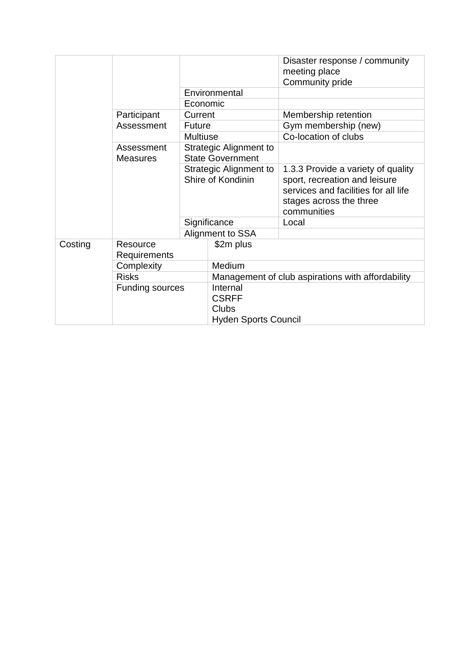|         |                               |                                                                                                         |                                                                         | Disaster response / community<br>meeting place<br>Community pride                                                                                     |  |
|---------|-------------------------------|---------------------------------------------------------------------------------------------------------|-------------------------------------------------------------------------|-------------------------------------------------------------------------------------------------------------------------------------------------------|--|
|         |                               |                                                                                                         | Environmental                                                           |                                                                                                                                                       |  |
|         |                               | Economic                                                                                                |                                                                         |                                                                                                                                                       |  |
|         | Participant                   | Current                                                                                                 |                                                                         | Membership retention                                                                                                                                  |  |
|         | Assessment                    | <b>Future</b>                                                                                           |                                                                         | Gym membership (new)                                                                                                                                  |  |
|         |                               | <b>Multiuse</b>                                                                                         |                                                                         | Co-location of clubs                                                                                                                                  |  |
|         | Assessment<br><b>Measures</b> | <b>Strategic Alignment to</b><br><b>State Government</b><br>Strategic Alignment to<br>Shire of Kondinin |                                                                         |                                                                                                                                                       |  |
|         |                               |                                                                                                         |                                                                         | 1.3.3 Provide a variety of quality<br>sport, recreation and leisure<br>services and facilities for all life<br>stages across the three<br>communities |  |
|         |                               |                                                                                                         | Significance                                                            | Local                                                                                                                                                 |  |
|         |                               | Alignment to SSA                                                                                        |                                                                         |                                                                                                                                                       |  |
| Costing | Resource<br>Requirements      |                                                                                                         | \$2m plus                                                               |                                                                                                                                                       |  |
|         | Complexity                    |                                                                                                         | <b>Medium</b>                                                           |                                                                                                                                                       |  |
|         | <b>Risks</b>                  |                                                                                                         | Management of club aspirations with affordability                       |                                                                                                                                                       |  |
|         | <b>Funding sources</b>        |                                                                                                         | Internal<br><b>CSRFF</b><br><b>Clubs</b><br><b>Hyden Sports Council</b> |                                                                                                                                                       |  |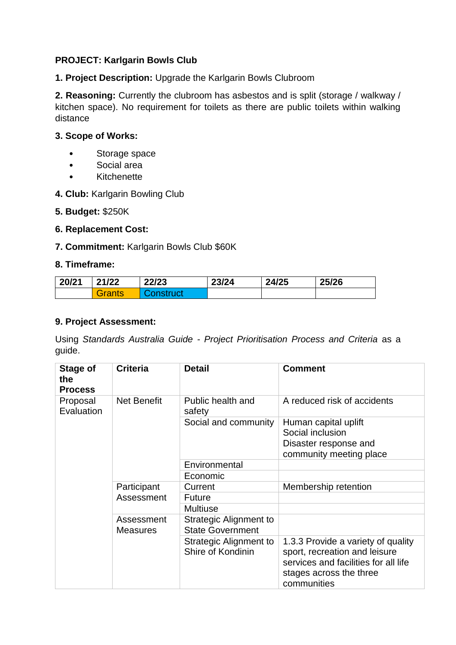# **PROJECT: Karlgarin Bowls Club**

**1. Project Description:** Upgrade the Karlgarin Bowls Clubroom

**2. Reasoning:** Currently the clubroom has asbestos and is split (storage / walkway / kitchen space). No requirement for toilets as there are public toilets within walking distance

## **3. Scope of Works:**

- Storage space
- Social area
- Kitchenette
- **4. Club:** Karlgarin Bowling Club
- **5. Budget:** \$250K

## **6. Replacement Cost:**

## **7. Commitment:** Karlgarin Bowls Club \$60K

#### **8. Timeframe:**

| 20/21 | 21/22  | 22/23 | 23/24 | 24/25 | 25/26 |
|-------|--------|-------|-------|-------|-------|
|       | Grants |       |       |       |       |

#### **9. Project Assessment:**

| Stage of<br>the<br><b>Process</b> | <b>Criteria</b>               | <b>Detail</b>                                     | <b>Comment</b>                                                                                                                                        |
|-----------------------------------|-------------------------------|---------------------------------------------------|-------------------------------------------------------------------------------------------------------------------------------------------------------|
| Proposal<br>Evaluation            | Net Benefit                   | Public health and<br>safety                       | A reduced risk of accidents                                                                                                                           |
|                                   |                               | Social and community                              | Human capital uplift<br>Social inclusion<br>Disaster response and<br>community meeting place                                                          |
|                                   |                               | Environmental                                     |                                                                                                                                                       |
|                                   |                               | Economic                                          |                                                                                                                                                       |
|                                   | Participant                   | Current                                           | Membership retention                                                                                                                                  |
|                                   | Assessment                    | Future                                            |                                                                                                                                                       |
|                                   |                               | <b>Multiuse</b>                                   |                                                                                                                                                       |
|                                   | Assessment<br><b>Measures</b> | Strategic Alignment to<br><b>State Government</b> |                                                                                                                                                       |
|                                   |                               | Strategic Alignment to<br>Shire of Kondinin       | 1.3.3 Provide a variety of quality<br>sport, recreation and leisure<br>services and facilities for all life<br>stages across the three<br>communities |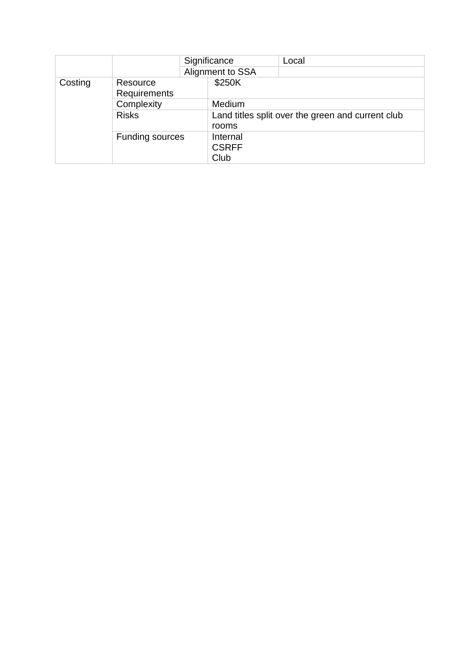|            |                        |  | Significance     | Local                                             |
|------------|------------------------|--|------------------|---------------------------------------------------|
|            |                        |  | Alignment to SSA |                                                   |
| Costing    | Resource               |  | \$250K           |                                                   |
|            | Requirements           |  |                  |                                                   |
| Complexity |                        |  | Medium           |                                                   |
|            | <b>Risks</b>           |  |                  | Land titles split over the green and current club |
|            |                        |  | rooms            |                                                   |
|            | <b>Funding sources</b> |  | Internal         |                                                   |
|            |                        |  | <b>CSRFF</b>     |                                                   |
|            |                        |  | Club             |                                                   |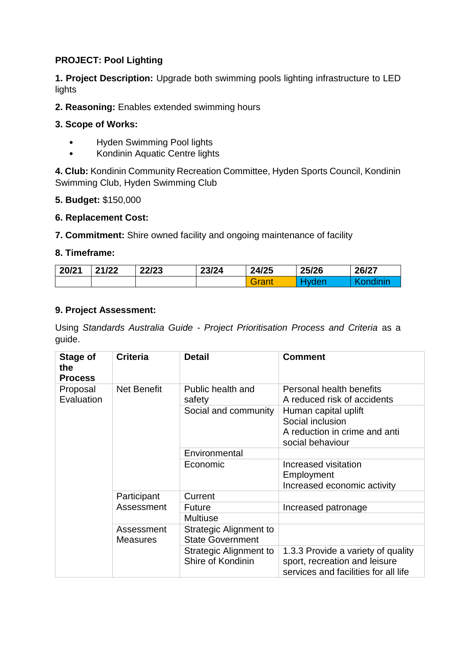# **PROJECT: Pool Lighting**

**1. Project Description:** Upgrade both swimming pools lighting infrastructure to LED lights

**2. Reasoning:** Enables extended swimming hours

# **3. Scope of Works:**

- Hyden Swimming Pool lights
- Kondinin Aquatic Centre lights

**4. Club:** Kondinin Community Recreation Committee, Hyden Sports Council, Kondinin Swimming Club, Hyden Swimming Club

## **5. Budget:** \$150,000

## **6. Replacement Cost:**

**7. Commitment:** Shire owned facility and ongoing maintenance of facility

## **8. Timeframe:**

| 20/21 | 21/22 | 22/23 | 23/24 | 24/25 | 25/26 | 26/27 |
|-------|-------|-------|-------|-------|-------|-------|
|       |       |       |       | Grant |       |       |

#### **9. Project Assessment:**

| Stage of<br>the<br><b>Process</b> | <b>Criteria</b>               | <b>Detail</b>                                            | <b>Comment</b>                                                                                              |
|-----------------------------------|-------------------------------|----------------------------------------------------------|-------------------------------------------------------------------------------------------------------------|
| Proposal<br>Evaluation            | Net Benefit                   | Public health and<br>safety                              | Personal health benefits<br>A reduced risk of accidents                                                     |
|                                   |                               | Social and community                                     | Human capital uplift<br>Social inclusion<br>A reduction in crime and anti<br>social behaviour               |
|                                   |                               | Environmental                                            |                                                                                                             |
|                                   |                               | Economic                                                 | Increased visitation<br>Employment<br>Increased economic activity                                           |
|                                   | Participant<br>Assessment     | Current                                                  |                                                                                                             |
|                                   |                               | <b>Future</b>                                            | Increased patronage                                                                                         |
|                                   |                               | <b>Multiuse</b>                                          |                                                                                                             |
|                                   | Assessment<br><b>Measures</b> | <b>Strategic Alignment to</b><br><b>State Government</b> |                                                                                                             |
|                                   |                               | Strategic Alignment to<br>Shire of Kondinin              | 1.3.3 Provide a variety of quality<br>sport, recreation and leisure<br>services and facilities for all life |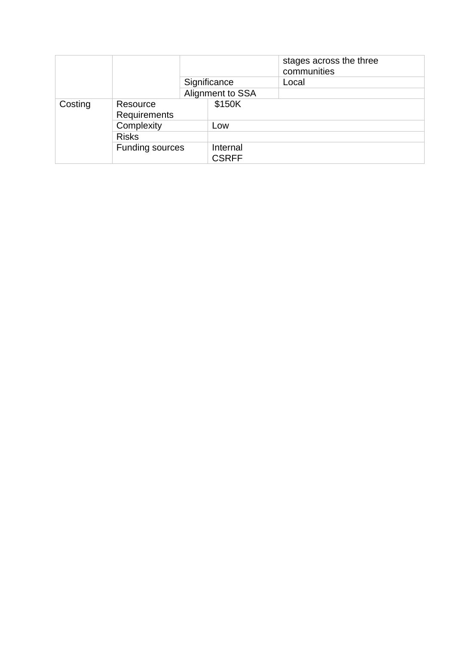|         |                        |              |                          | stages across the three<br>communities |
|---------|------------------------|--------------|--------------------------|----------------------------------------|
|         |                        |              | Significance             | Local                                  |
|         |                        |              | Alignment to SSA         |                                        |
| Costing | Resource               |              | \$150K                   |                                        |
|         | <b>Requirements</b>    |              |                          |                                        |
|         | Complexity             |              | Low                      |                                        |
|         |                        | <b>Risks</b> |                          |                                        |
|         | <b>Funding sources</b> |              | Internal<br><b>CSRFF</b> |                                        |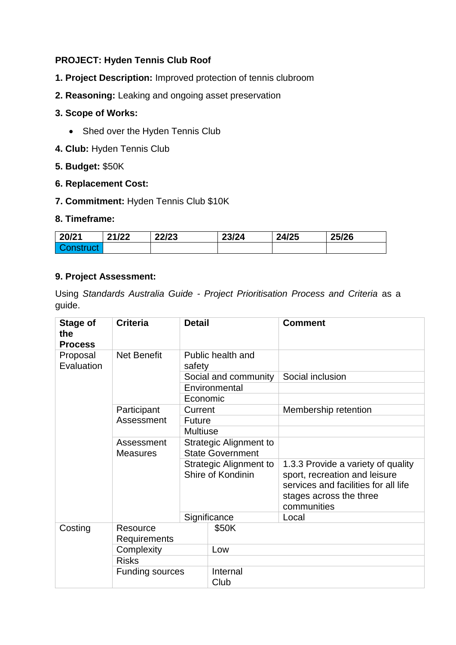# **PROJECT: Hyden Tennis Club Roof**

- **1. Project Description:** Improved protection of tennis clubroom
- **2. Reasoning:** Leaking and ongoing asset preservation

# **3. Scope of Works:**

- Shed over the Hyden Tennis Club
- **4. Club:** Hyden Tennis Club

# **5. Budget:** \$50K

## **6. Replacement Cost:**

**7. Commitment:** Hyden Tennis Club \$10K

## **8. Timeframe:**

| 20/21 | 21/22 | 22/23 | 23/24 | 24/25 | 25/26 |
|-------|-------|-------|-------|-------|-------|
|       |       |       |       |       |       |

# **9. Project Assessment:**

| Stage of<br>the<br><b>Process</b> | <b>Criteria</b>               | <b>Detail</b>                                     |                      | <b>Comment</b>                                                                                                                                        |
|-----------------------------------|-------------------------------|---------------------------------------------------|----------------------|-------------------------------------------------------------------------------------------------------------------------------------------------------|
| Proposal<br>Evaluation            | <b>Net Benefit</b>            | safety                                            | Public health and    |                                                                                                                                                       |
|                                   |                               |                                                   | Social and community | Social inclusion                                                                                                                                      |
|                                   |                               |                                                   | Environmental        |                                                                                                                                                       |
|                                   |                               | Economic                                          |                      |                                                                                                                                                       |
|                                   | Participant                   | Current                                           |                      | Membership retention                                                                                                                                  |
|                                   | Assessment                    | <b>Future</b>                                     |                      |                                                                                                                                                       |
|                                   |                               | <b>Multiuse</b>                                   |                      |                                                                                                                                                       |
|                                   | Assessment<br><b>Measures</b> | Strategic Alignment to<br><b>State Government</b> |                      |                                                                                                                                                       |
|                                   |                               | Strategic Alignment to<br>Shire of Kondinin       |                      | 1.3.3 Provide a variety of quality<br>sport, recreation and leisure<br>services and facilities for all life<br>stages across the three<br>communities |
|                                   |                               | Significance                                      |                      | Local                                                                                                                                                 |
| Costing                           | Resource<br>Requirements      |                                                   | \$50K                |                                                                                                                                                       |
|                                   | Complexity                    |                                                   | Low                  |                                                                                                                                                       |
|                                   | <b>Risks</b>                  |                                                   |                      |                                                                                                                                                       |
|                                   | <b>Funding sources</b>        |                                                   | Internal<br>Club     |                                                                                                                                                       |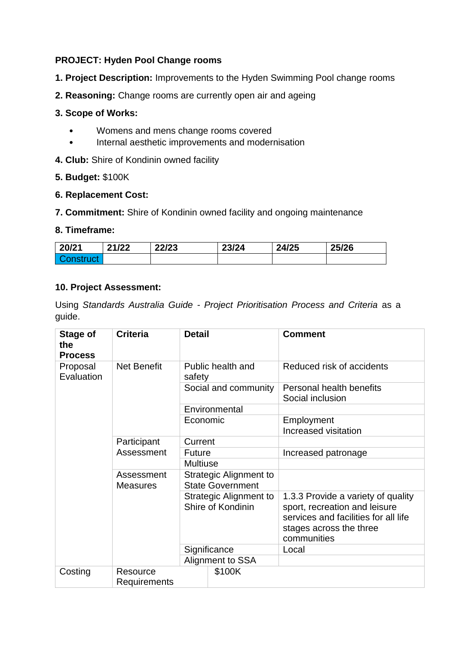# **PROJECT: Hyden Pool Change rooms**

- **1. Project Description:** Improvements to the Hyden Swimming Pool change rooms
- **2. Reasoning:** Change rooms are currently open air and ageing

#### **3. Scope of Works:**

- Womens and mens change rooms covered
- Internal aesthetic improvements and modernisation
- **4. Club:** Shire of Kondinin owned facility
- **5. Budget:** \$100K

#### **6. Replacement Cost:**

**7. Commitment:** Shire of Kondinin owned facility and ongoing maintenance

## **8. Timeframe:**

| 20/21            | 21/22 | 22/23 | 23/24 | 24/25 | 25/26 |
|------------------|-------|-------|-------|-------|-------|
| <b>Construct</b> |       |       |       |       |       |

## **10. Project Assessment:**

| Stage of<br>the<br><b>Process</b> | <b>Criteria</b>                 | <b>Detail</b>                                     | <b>Comment</b>                                                                                                                                        |
|-----------------------------------|---------------------------------|---------------------------------------------------|-------------------------------------------------------------------------------------------------------------------------------------------------------|
| Proposal<br>Evaluation            | <b>Net Benefit</b>              | Public health and<br>safety                       | Reduced risk of accidents                                                                                                                             |
|                                   |                                 | Social and community                              | Personal health benefits<br>Social inclusion                                                                                                          |
|                                   |                                 | Environmental                                     |                                                                                                                                                       |
|                                   |                                 | Economic                                          | Employment<br>Increased visitation                                                                                                                    |
|                                   | Participant<br>Assessment       | Current                                           |                                                                                                                                                       |
|                                   |                                 | <b>Future</b>                                     | Increased patronage                                                                                                                                   |
|                                   |                                 | <b>Multiuse</b>                                   |                                                                                                                                                       |
|                                   | Assessment<br><b>Measures</b>   | Strategic Alignment to<br><b>State Government</b> |                                                                                                                                                       |
|                                   |                                 | Strategic Alignment to<br>Shire of Kondinin       | 1.3.3 Provide a variety of quality<br>sport, recreation and leisure<br>services and facilities for all life<br>stages across the three<br>communities |
|                                   |                                 | Significance                                      | Local                                                                                                                                                 |
|                                   |                                 | Alignment to SSA                                  |                                                                                                                                                       |
| Costing                           | Resource<br><b>Requirements</b> | \$100K                                            |                                                                                                                                                       |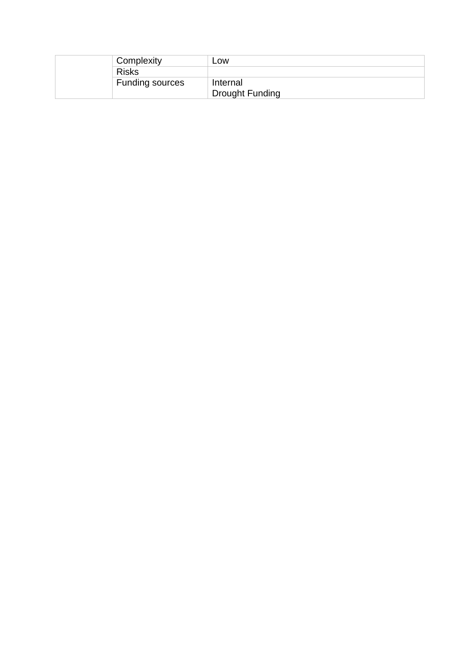| Complexity      | Low             |
|-----------------|-----------------|
| <b>Risks</b>    |                 |
| Funding sources | Internal        |
|                 | Drought Funding |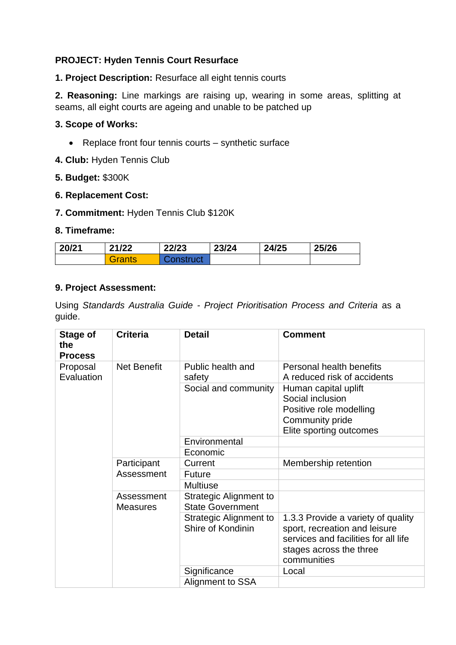# **PROJECT: Hyden Tennis Court Resurface**

**1. Project Description:** Resurface all eight tennis courts

**2. Reasoning:** Line markings are raising up, wearing in some areas, splitting at seams, all eight courts are ageing and unable to be patched up

# **3. Scope of Works:**

- Replace front four tennis courts synthetic surface
- **4. Club:** Hyden Tennis Club

#### **5. Budget:** \$300K

#### **6. Replacement Cost:**

**7. Commitment:** Hyden Tennis Club \$120K

#### **8. Timeframe:**

| 20/21 | 21/22  | 22/23     | 23/24 | 24/25 | 25/26 |
|-------|--------|-----------|-------|-------|-------|
|       | Grants | ∠onstruct |       |       |       |

## **9. Project Assessment:**

| Stage of<br>the<br><b>Process</b> | <b>Criteria</b>               | <b>Detail</b>                                     | <b>Comment</b>                                                                                                                                        |
|-----------------------------------|-------------------------------|---------------------------------------------------|-------------------------------------------------------------------------------------------------------------------------------------------------------|
| Proposal<br>Evaluation            | <b>Net Benefit</b>            | Public health and<br>safety                       | Personal health benefits<br>A reduced risk of accidents                                                                                               |
|                                   |                               | Social and community                              | Human capital uplift<br>Social inclusion<br>Positive role modelling<br>Community pride<br>Elite sporting outcomes                                     |
|                                   |                               | Environmental                                     |                                                                                                                                                       |
|                                   |                               | Economic                                          |                                                                                                                                                       |
|                                   | Participant<br>Assessment     | Current                                           | Membership retention                                                                                                                                  |
|                                   |                               | <b>Future</b>                                     |                                                                                                                                                       |
|                                   |                               | <b>Multiuse</b>                                   |                                                                                                                                                       |
|                                   | Assessment<br><b>Measures</b> | Strategic Alignment to<br><b>State Government</b> |                                                                                                                                                       |
|                                   |                               | Strategic Alignment to<br>Shire of Kondinin       | 1.3.3 Provide a variety of quality<br>sport, recreation and leisure<br>services and facilities for all life<br>stages across the three<br>communities |
|                                   |                               | Significance                                      | Local                                                                                                                                                 |
|                                   |                               | Alignment to SSA                                  |                                                                                                                                                       |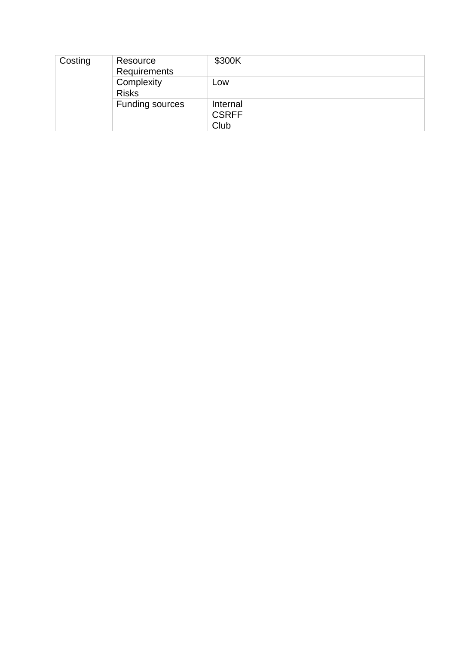| Costing | Resource<br>Requirements | \$300K                           |
|---------|--------------------------|----------------------------------|
|         | Complexity               | LOW                              |
|         | <b>Risks</b>             |                                  |
|         | <b>Funding sources</b>   | Internal<br><b>CSRFF</b><br>Club |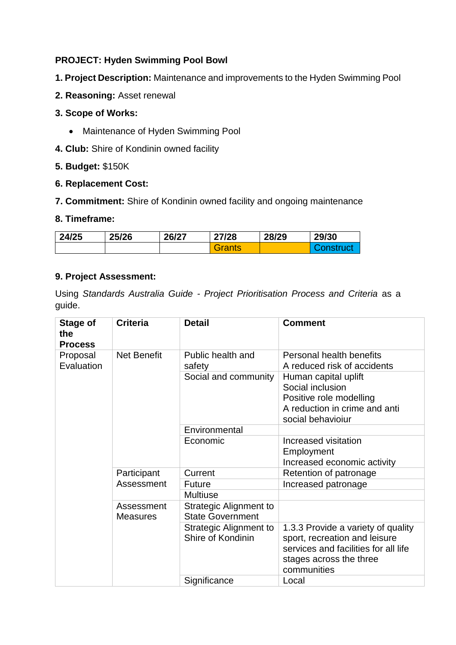# **PROJECT: Hyden Swimming Pool Bowl**

- **1. Project Description:** Maintenance and improvements to the Hyden Swimming Pool
- **2. Reasoning:** Asset renewal

# **3. Scope of Works:**

- Maintenance of Hyden Swimming Pool
- **4. Club:** Shire of Kondinin owned facility

# **5. Budget:** \$150K

# **6. Replacement Cost:**

**7. Commitment:** Shire of Kondinin owned facility and ongoing maintenance

# **8. Timeframe:**

| 24/25 | 25/26 | 26/27 | 27/28  | 28/29 | 29/30    |
|-------|-------|-------|--------|-------|----------|
|       |       |       | Grants |       | onstruct |

# **9. Project Assessment:**

| Stage of<br>the<br><b>Process</b> | <b>Criteria</b>               | <b>Detail</b>                                     | <b>Comment</b>                                                                                                                                        |
|-----------------------------------|-------------------------------|---------------------------------------------------|-------------------------------------------------------------------------------------------------------------------------------------------------------|
| Proposal<br>Evaluation            | <b>Net Benefit</b>            | Public health and<br>safety                       | Personal health benefits<br>A reduced risk of accidents                                                                                               |
|                                   |                               | Social and community                              | Human capital uplift<br>Social inclusion<br>Positive role modelling<br>A reduction in crime and anti<br>social behavioiur                             |
|                                   |                               | Environmental                                     |                                                                                                                                                       |
|                                   |                               | Economic                                          | Increased visitation<br>Employment<br>Increased economic activity                                                                                     |
|                                   | Participant<br>Assessment     | Current                                           | Retention of patronage                                                                                                                                |
|                                   |                               | Future                                            | Increased patronage                                                                                                                                   |
|                                   |                               | <b>Multiuse</b>                                   |                                                                                                                                                       |
|                                   | Assessment<br><b>Measures</b> | Strategic Alignment to<br><b>State Government</b> |                                                                                                                                                       |
|                                   |                               | Strategic Alignment to<br>Shire of Kondinin       | 1.3.3 Provide a variety of quality<br>sport, recreation and leisure<br>services and facilities for all life<br>stages across the three<br>communities |
|                                   |                               | Significance                                      | Local                                                                                                                                                 |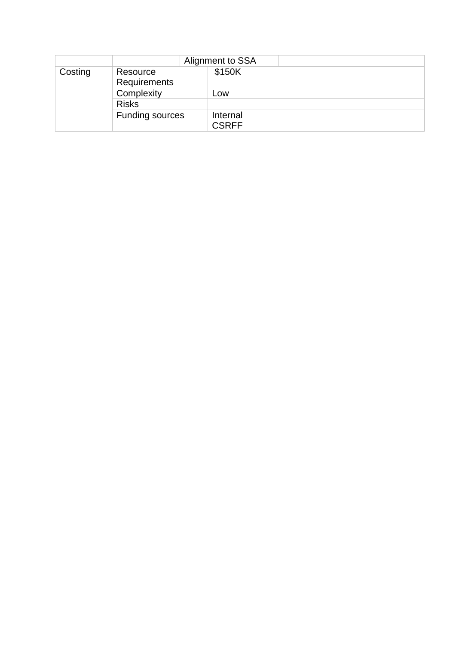|         | Alignment to SSA       |              |
|---------|------------------------|--------------|
| Costing | Resource               | \$150K       |
|         | Requirements           |              |
|         | Complexity             | Low          |
|         | <b>Risks</b>           |              |
|         | <b>Funding sources</b> | Internal     |
|         |                        | <b>CSRFF</b> |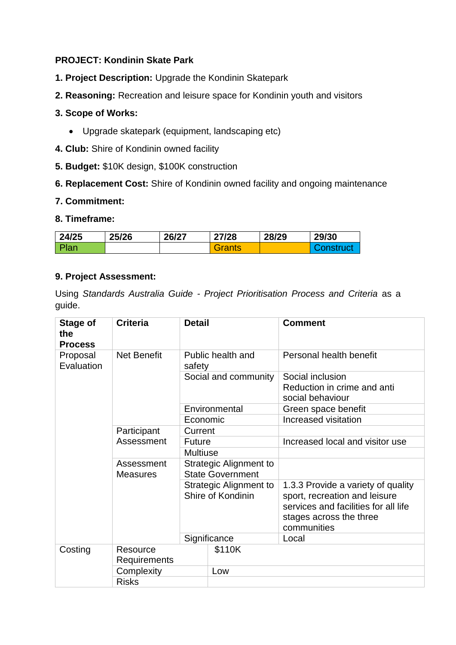# **PROJECT: Kondinin Skate Park**

- **1. Project Description:** Upgrade the Kondinin Skatepark
- **2. Reasoning:** Recreation and leisure space for Kondinin youth and visitors

# **3. Scope of Works:**

- Upgrade skatepark (equipment, landscaping etc)
- **4. Club:** Shire of Kondinin owned facility
- **5. Budget:** \$10K design, \$100K construction
- **6. Replacement Cost:** Shire of Kondinin owned facility and ongoing maintenance

# **7. Commitment:**

# **8. Timeframe:**

| 24/25 | 25/26 | 26/27 | 27/28  | 28/29 | 29/30 |
|-------|-------|-------|--------|-------|-------|
| Plan  |       |       | Grants |       |       |

# **9. Project Assessment:**

| Stage of<br>the<br><b>Process</b> | <b>Criteria</b>               | <b>Detail</b>                                     |        | <b>Comment</b>                                                                                                                                        |  |
|-----------------------------------|-------------------------------|---------------------------------------------------|--------|-------------------------------------------------------------------------------------------------------------------------------------------------------|--|
| Proposal<br>Evaluation            | <b>Net Benefit</b>            | Public health and<br>safety                       |        | Personal health benefit                                                                                                                               |  |
|                                   |                               | Social and community                              |        | Social inclusion<br>Reduction in crime and anti<br>social behaviour                                                                                   |  |
|                                   |                               | Environmental                                     |        | Green space benefit                                                                                                                                   |  |
|                                   |                               | Economic                                          |        | Increased visitation                                                                                                                                  |  |
|                                   | Participant<br>Assessment     | Current                                           |        |                                                                                                                                                       |  |
|                                   |                               | <b>Future</b>                                     |        | Increased local and visitor use                                                                                                                       |  |
|                                   |                               | <b>Multiuse</b>                                   |        |                                                                                                                                                       |  |
|                                   | Assessment<br><b>Measures</b> | Strategic Alignment to<br><b>State Government</b> |        |                                                                                                                                                       |  |
|                                   |                               | Strategic Alignment to<br>Shire of Kondinin       |        | 1.3.3 Provide a variety of quality<br>sport, recreation and leisure<br>services and facilities for all life<br>stages across the three<br>communities |  |
|                                   |                               | Significance                                      |        | Local                                                                                                                                                 |  |
| Costing                           | Resource<br>Requirements      |                                                   | \$110K |                                                                                                                                                       |  |
|                                   | Complexity                    |                                                   | Low    |                                                                                                                                                       |  |
|                                   | <b>Risks</b>                  |                                                   |        |                                                                                                                                                       |  |